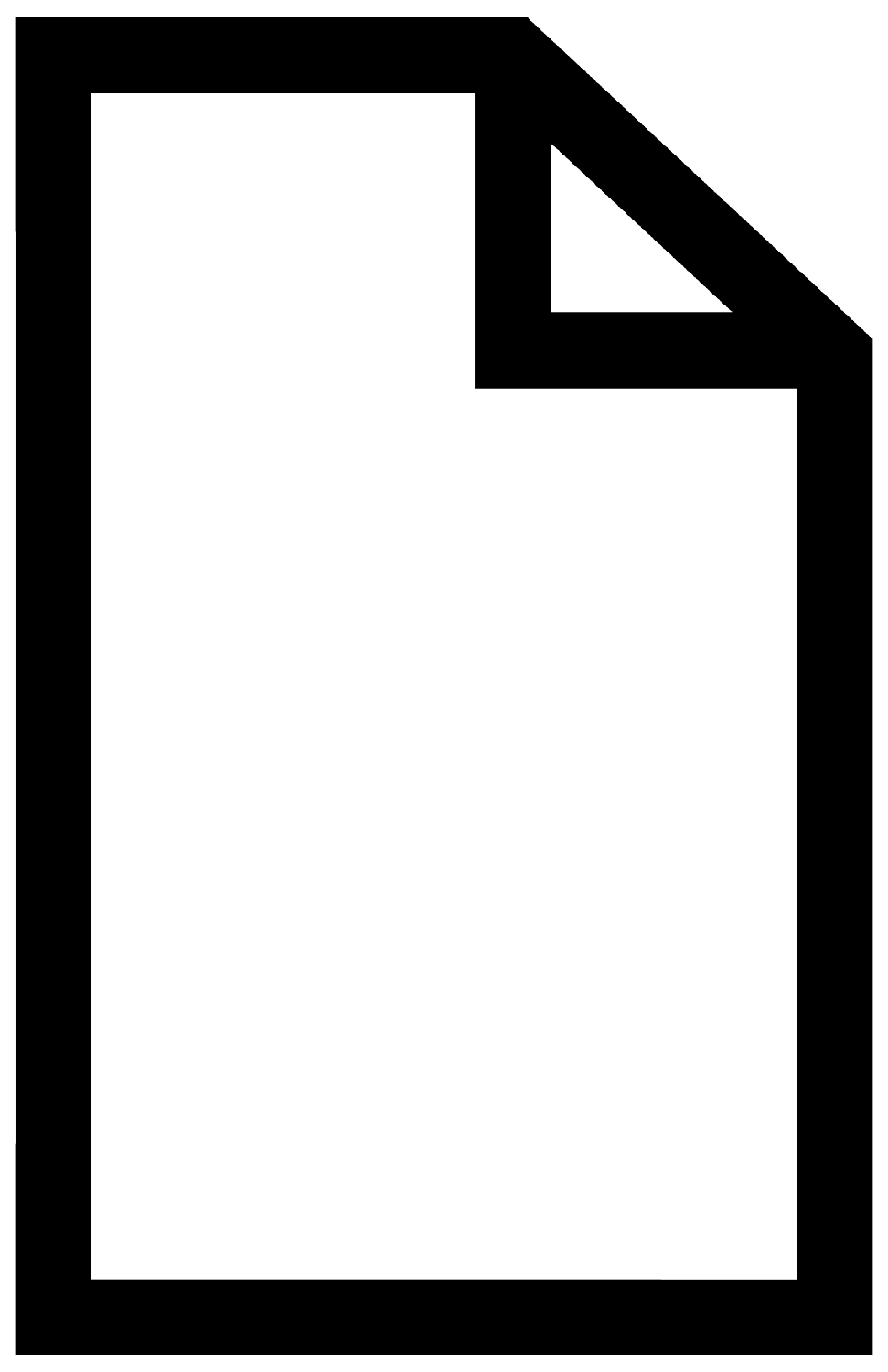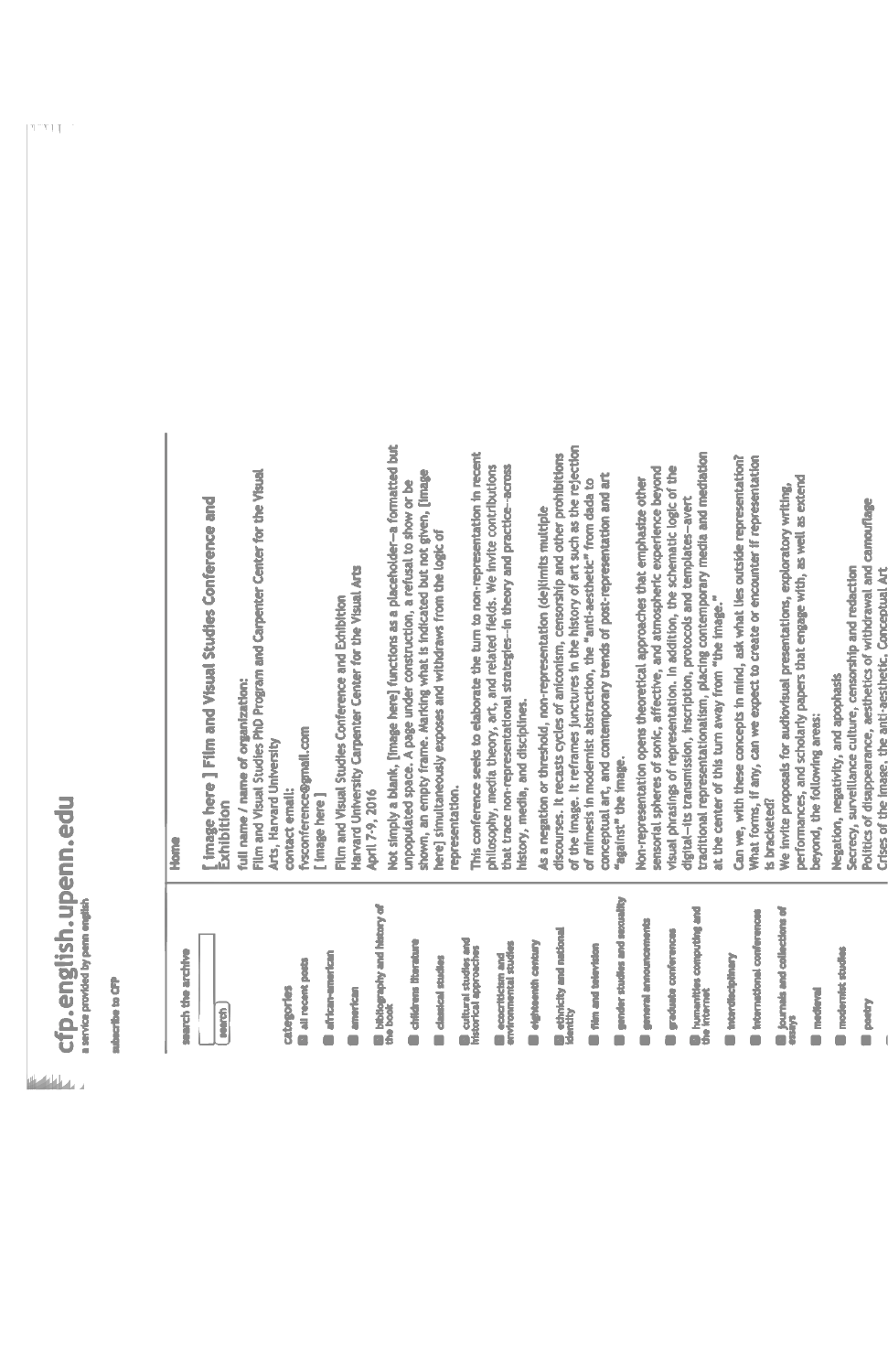# E<br>E cfp.english.upenn.edu<br>A a anterpreteur penn outés

 $\mathbb{T}^{T+T+T}$ 

subscribe to CPP

| sensorial spheres of sonic, affective, and atmospheric experience beyond<br>visual phrasings of representation. In addition, the schematic logic of the<br>shown, an empty frame. Marking what is indicated but not given, [Image<br>conceptual art, and contemporary trends of post-representation and art<br>We invite proposals for audiovisual presentations, exploratory writing,<br>Politics of disappearance, aesthetics of withdrawal and camouflage<br>Secrecy, surveillance culture, censorship and redaction<br>at the center of this turn away from "the image."<br>Negation, negativity, and apophasis<br>full name / name of organization:<br>history, media, and disciplines.<br>beyond, the following areas:<br>fysconference@gmail.com<br>Arts, Harvard University<br>"against" the image.<br>representation.<br>April 7-9, 2016<br>contact email:<br>[image here]<br><b>Is bracketed?</b><br>pender studies and secondky<br>Intelligency and history of<br>journals and collections of<br><b>B</b> humanities computing and<br>the internet<br>International conferences<br>general announcements<br>echnicity and national<br>Identity<br>graduate conferences<br><b>B</b> cultural studies and<br>historical approaches<br>childress therature<br>eighteenth century<br>accriticism and<br>environmental studies<br>film and television<br>modernist studies<br>search the archive<br>african-american<br><b>Interdisciplinary</b><br>classical studies<br>all recent posts<br>categories<br>american<br>mechanol<br>poetry<br>merch<br><b>Manufacture</b><br>$\blacksquare$<br>۵<br>ō<br>c<br>Ō<br>۵<br>г | <b>Home</b>                                                                                                                                                      |
|--------------------------------------------------------------------------------------------------------------------------------------------------------------------------------------------------------------------------------------------------------------------------------------------------------------------------------------------------------------------------------------------------------------------------------------------------------------------------------------------------------------------------------------------------------------------------------------------------------------------------------------------------------------------------------------------------------------------------------------------------------------------------------------------------------------------------------------------------------------------------------------------------------------------------------------------------------------------------------------------------------------------------------------------------------------------------------------------------------------------------------------------------------------------------------------------------------------------------------------------------------------------------------------------------------------------------------------------------------------------------------------------------------------------------------------------------------------------------------------------------------------------------------------------------------------------------------------------------------------------------------|------------------------------------------------------------------------------------------------------------------------------------------------------------------|
|                                                                                                                                                                                                                                                                                                                                                                                                                                                                                                                                                                                                                                                                                                                                                                                                                                                                                                                                                                                                                                                                                                                                                                                                                                                                                                                                                                                                                                                                                                                                                                                                                                | [ image here ] Film and Visual Studies Conference and<br>Exhibition                                                                                              |
|                                                                                                                                                                                                                                                                                                                                                                                                                                                                                                                                                                                                                                                                                                                                                                                                                                                                                                                                                                                                                                                                                                                                                                                                                                                                                                                                                                                                                                                                                                                                                                                                                                | Film and Visual Studies PhD Program and Carpenter Center for the Visual                                                                                          |
|                                                                                                                                                                                                                                                                                                                                                                                                                                                                                                                                                                                                                                                                                                                                                                                                                                                                                                                                                                                                                                                                                                                                                                                                                                                                                                                                                                                                                                                                                                                                                                                                                                |                                                                                                                                                                  |
|                                                                                                                                                                                                                                                                                                                                                                                                                                                                                                                                                                                                                                                                                                                                                                                                                                                                                                                                                                                                                                                                                                                                                                                                                                                                                                                                                                                                                                                                                                                                                                                                                                |                                                                                                                                                                  |
|                                                                                                                                                                                                                                                                                                                                                                                                                                                                                                                                                                                                                                                                                                                                                                                                                                                                                                                                                                                                                                                                                                                                                                                                                                                                                                                                                                                                                                                                                                                                                                                                                                |                                                                                                                                                                  |
|                                                                                                                                                                                                                                                                                                                                                                                                                                                                                                                                                                                                                                                                                                                                                                                                                                                                                                                                                                                                                                                                                                                                                                                                                                                                                                                                                                                                                                                                                                                                                                                                                                | Film and Visual Studies Conference and Exhibition                                                                                                                |
|                                                                                                                                                                                                                                                                                                                                                                                                                                                                                                                                                                                                                                                                                                                                                                                                                                                                                                                                                                                                                                                                                                                                                                                                                                                                                                                                                                                                                                                                                                                                                                                                                                | Harvard University Carpenter Center for the Visual Arts                                                                                                          |
|                                                                                                                                                                                                                                                                                                                                                                                                                                                                                                                                                                                                                                                                                                                                                                                                                                                                                                                                                                                                                                                                                                                                                                                                                                                                                                                                                                                                                                                                                                                                                                                                                                | Not simply a blank, [image here] functions as a placeholder-a formatted but                                                                                      |
|                                                                                                                                                                                                                                                                                                                                                                                                                                                                                                                                                                                                                                                                                                                                                                                                                                                                                                                                                                                                                                                                                                                                                                                                                                                                                                                                                                                                                                                                                                                                                                                                                                | unpopulated space. A page under construction, a refusal to show or be                                                                                            |
|                                                                                                                                                                                                                                                                                                                                                                                                                                                                                                                                                                                                                                                                                                                                                                                                                                                                                                                                                                                                                                                                                                                                                                                                                                                                                                                                                                                                                                                                                                                                                                                                                                | here] simultaneously exposes and withdraws from the logic of                                                                                                     |
|                                                                                                                                                                                                                                                                                                                                                                                                                                                                                                                                                                                                                                                                                                                                                                                                                                                                                                                                                                                                                                                                                                                                                                                                                                                                                                                                                                                                                                                                                                                                                                                                                                |                                                                                                                                                                  |
|                                                                                                                                                                                                                                                                                                                                                                                                                                                                                                                                                                                                                                                                                                                                                                                                                                                                                                                                                                                                                                                                                                                                                                                                                                                                                                                                                                                                                                                                                                                                                                                                                                | This conference seeks to elaborate the turn to non-representation in recent                                                                                      |
|                                                                                                                                                                                                                                                                                                                                                                                                                                                                                                                                                                                                                                                                                                                                                                                                                                                                                                                                                                                                                                                                                                                                                                                                                                                                                                                                                                                                                                                                                                                                                                                                                                | philosophy, media theory, art, and related fields. We invite contributions<br>that trace non-representational strategies--in theory and practice--across         |
|                                                                                                                                                                                                                                                                                                                                                                                                                                                                                                                                                                                                                                                                                                                                                                                                                                                                                                                                                                                                                                                                                                                                                                                                                                                                                                                                                                                                                                                                                                                                                                                                                                |                                                                                                                                                                  |
|                                                                                                                                                                                                                                                                                                                                                                                                                                                                                                                                                                                                                                                                                                                                                                                                                                                                                                                                                                                                                                                                                                                                                                                                                                                                                                                                                                                                                                                                                                                                                                                                                                | As a negation or threshold, non-representation (de)limits multiple                                                                                               |
|                                                                                                                                                                                                                                                                                                                                                                                                                                                                                                                                                                                                                                                                                                                                                                                                                                                                                                                                                                                                                                                                                                                                                                                                                                                                                                                                                                                                                                                                                                                                                                                                                                | of the image. It reframes junctures in the history of art such as the rejection<br>discourses. It recasts cycles of aniconism, censorship and other prohibitions |
|                                                                                                                                                                                                                                                                                                                                                                                                                                                                                                                                                                                                                                                                                                                                                                                                                                                                                                                                                                                                                                                                                                                                                                                                                                                                                                                                                                                                                                                                                                                                                                                                                                | of mimesis in modernist abstraction, the "anti-aesthetic" from dada to                                                                                           |
|                                                                                                                                                                                                                                                                                                                                                                                                                                                                                                                                                                                                                                                                                                                                                                                                                                                                                                                                                                                                                                                                                                                                                                                                                                                                                                                                                                                                                                                                                                                                                                                                                                |                                                                                                                                                                  |
|                                                                                                                                                                                                                                                                                                                                                                                                                                                                                                                                                                                                                                                                                                                                                                                                                                                                                                                                                                                                                                                                                                                                                                                                                                                                                                                                                                                                                                                                                                                                                                                                                                | Non-representation opens theoretical approaches that emphasize other                                                                                             |
|                                                                                                                                                                                                                                                                                                                                                                                                                                                                                                                                                                                                                                                                                                                                                                                                                                                                                                                                                                                                                                                                                                                                                                                                                                                                                                                                                                                                                                                                                                                                                                                                                                |                                                                                                                                                                  |
|                                                                                                                                                                                                                                                                                                                                                                                                                                                                                                                                                                                                                                                                                                                                                                                                                                                                                                                                                                                                                                                                                                                                                                                                                                                                                                                                                                                                                                                                                                                                                                                                                                | digital-its transmission, inscription, protocols and templates-avert                                                                                             |
|                                                                                                                                                                                                                                                                                                                                                                                                                                                                                                                                                                                                                                                                                                                                                                                                                                                                                                                                                                                                                                                                                                                                                                                                                                                                                                                                                                                                                                                                                                                                                                                                                                | traditional representationalism, placing contemporary media and mediation                                                                                        |
|                                                                                                                                                                                                                                                                                                                                                                                                                                                                                                                                                                                                                                                                                                                                                                                                                                                                                                                                                                                                                                                                                                                                                                                                                                                                                                                                                                                                                                                                                                                                                                                                                                |                                                                                                                                                                  |
|                                                                                                                                                                                                                                                                                                                                                                                                                                                                                                                                                                                                                                                                                                                                                                                                                                                                                                                                                                                                                                                                                                                                                                                                                                                                                                                                                                                                                                                                                                                                                                                                                                | Can we, with these concepts in mind, ask what lies outside representation?                                                                                       |
|                                                                                                                                                                                                                                                                                                                                                                                                                                                                                                                                                                                                                                                                                                                                                                                                                                                                                                                                                                                                                                                                                                                                                                                                                                                                                                                                                                                                                                                                                                                                                                                                                                | What forms, if any, can we expect to create or encounter if representation                                                                                       |
|                                                                                                                                                                                                                                                                                                                                                                                                                                                                                                                                                                                                                                                                                                                                                                                                                                                                                                                                                                                                                                                                                                                                                                                                                                                                                                                                                                                                                                                                                                                                                                                                                                |                                                                                                                                                                  |
|                                                                                                                                                                                                                                                                                                                                                                                                                                                                                                                                                                                                                                                                                                                                                                                                                                                                                                                                                                                                                                                                                                                                                                                                                                                                                                                                                                                                                                                                                                                                                                                                                                | performances, and scholarly papers that engage with, as well as extend                                                                                           |
|                                                                                                                                                                                                                                                                                                                                                                                                                                                                                                                                                                                                                                                                                                                                                                                                                                                                                                                                                                                                                                                                                                                                                                                                                                                                                                                                                                                                                                                                                                                                                                                                                                |                                                                                                                                                                  |
|                                                                                                                                                                                                                                                                                                                                                                                                                                                                                                                                                                                                                                                                                                                                                                                                                                                                                                                                                                                                                                                                                                                                                                                                                                                                                                                                                                                                                                                                                                                                                                                                                                |                                                                                                                                                                  |
|                                                                                                                                                                                                                                                                                                                                                                                                                                                                                                                                                                                                                                                                                                                                                                                                                                                                                                                                                                                                                                                                                                                                                                                                                                                                                                                                                                                                                                                                                                                                                                                                                                |                                                                                                                                                                  |
|                                                                                                                                                                                                                                                                                                                                                                                                                                                                                                                                                                                                                                                                                                                                                                                                                                                                                                                                                                                                                                                                                                                                                                                                                                                                                                                                                                                                                                                                                                                                                                                                                                | Crises of the image, the anti-aesthetic, Concentual Art                                                                                                          |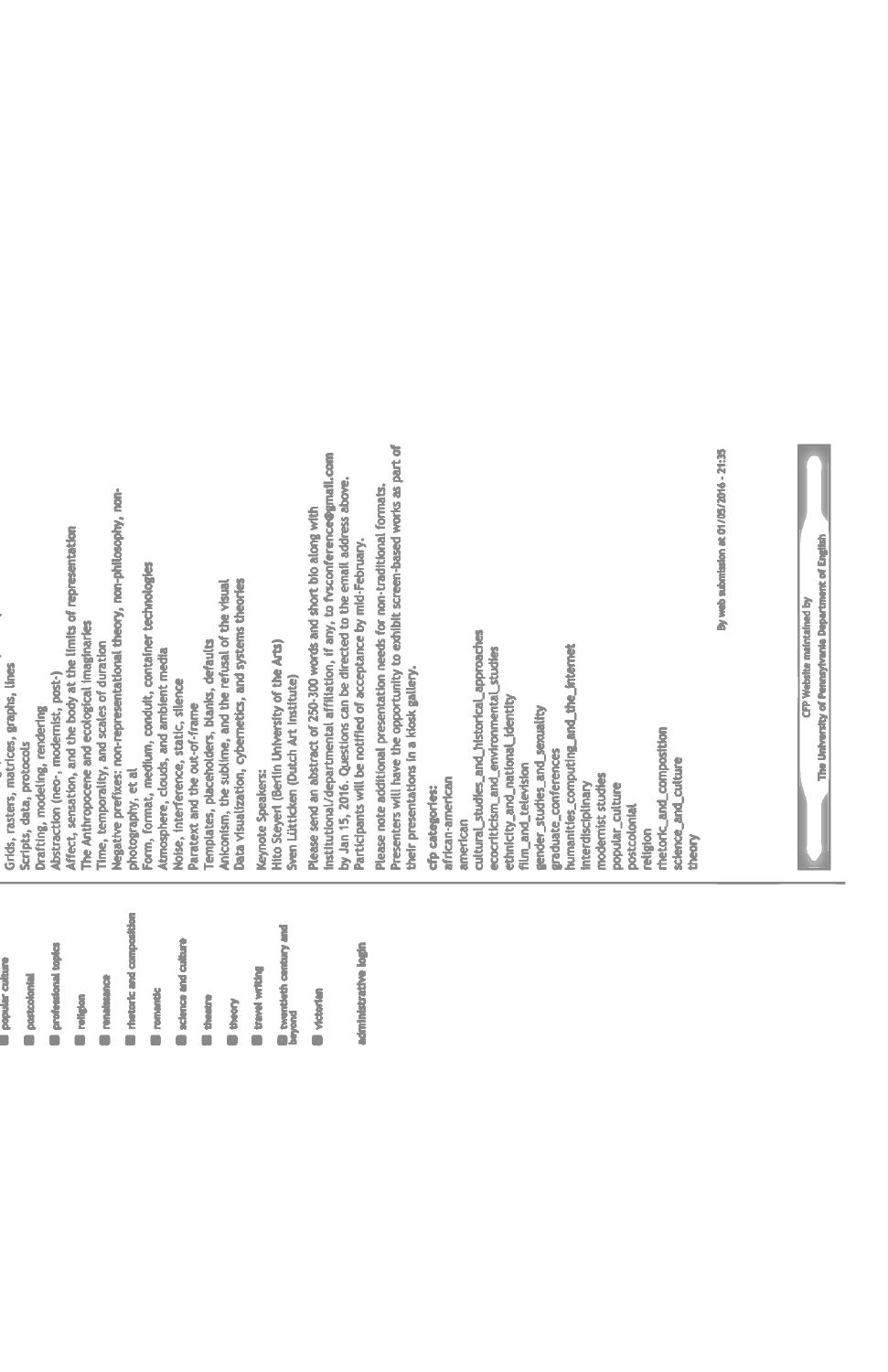Presenters will have the opportunity to exhibit screen-based works as part of By web submission at 01/05/2016 - 21:35 Institutional/departmental affiliation, if any, to fysconference@gmail.com by Jan 15, 2016. Questions can be directed to the email address above. Please note additional presentation needs for non-traditional formats. Negative prefixes: non-representational theory, non-philosophy, non-Please send an abstract of 250-300 words and short bio along with Affect, sensation, and the body at the limits of representation Participants will be notified of acceptance by mid-February. Form, format, medium, conduit, container technologies Aniconism, the sublime, and the refusal of the visual Data visualization, cybernetics, and systems theories CFP Website maintained by The Anthropocene and ecological imaginaries cultural studies and historical approaches Templates, placeholders, blanks, defaults Time, temporality, and scales of duration Hito Steyer1 (Berlin University of the Arts) ecocriticism and environmental studies humanities\_computing\_and\_the\_internet Atmosphere, clouds, and ambient media Grids, rasters, matrices, graphs, lines their presentations in a klosk gallery. Abstraction (neo-, modernist, post-) Sven Lütticken (Dutch Art Institute) Noise, interference, static, silence ethnicity\_and\_national\_identity Paratext and the out-of-frame Drafting, modeling, rendering gender\_studies\_and\_sexuality rhetoric\_and\_composition Scripts, data, protocols graduate\_conferences science\_and\_culture film and television photography, et al Keynote Speakers: modernist studies african-american Interdisciplinary popular\_culture cfp categories: postcolonial american religion theory

Theoric and composition

**B** renainsers

**Contigues** 

professional topics

popular cutture

postcolonial

science and culture

**B** theirs **B** theory

**B** remartit

**B** twentleth century and<br>beyond

Actorian

**B** travel writing

administrative login

l

The University of Pennsylvania Department of English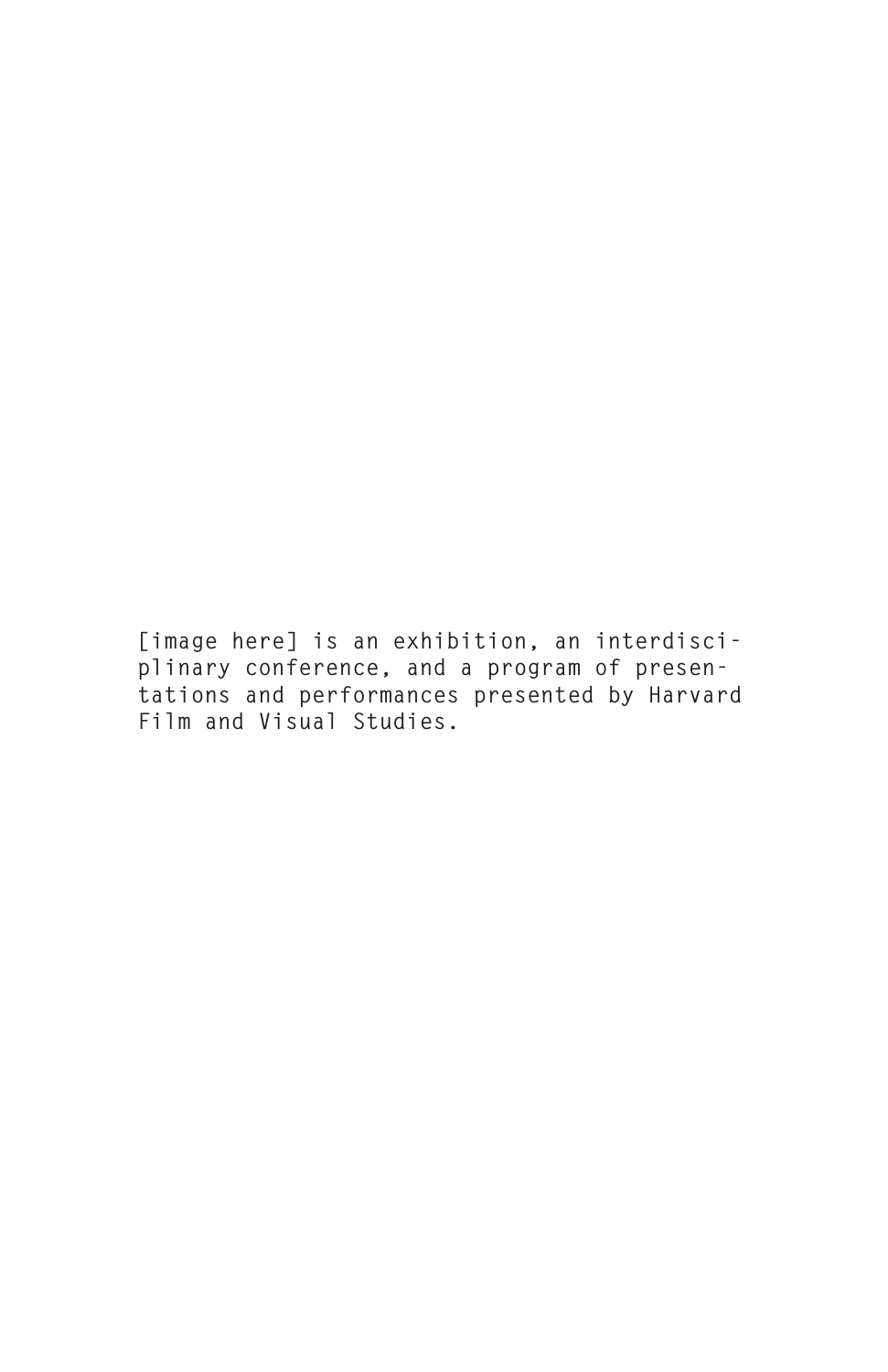**[image here] is an exhibition, an interdisciplinary conference, and a program of presentations and performances presented by Harvard Film and Visual Studies.**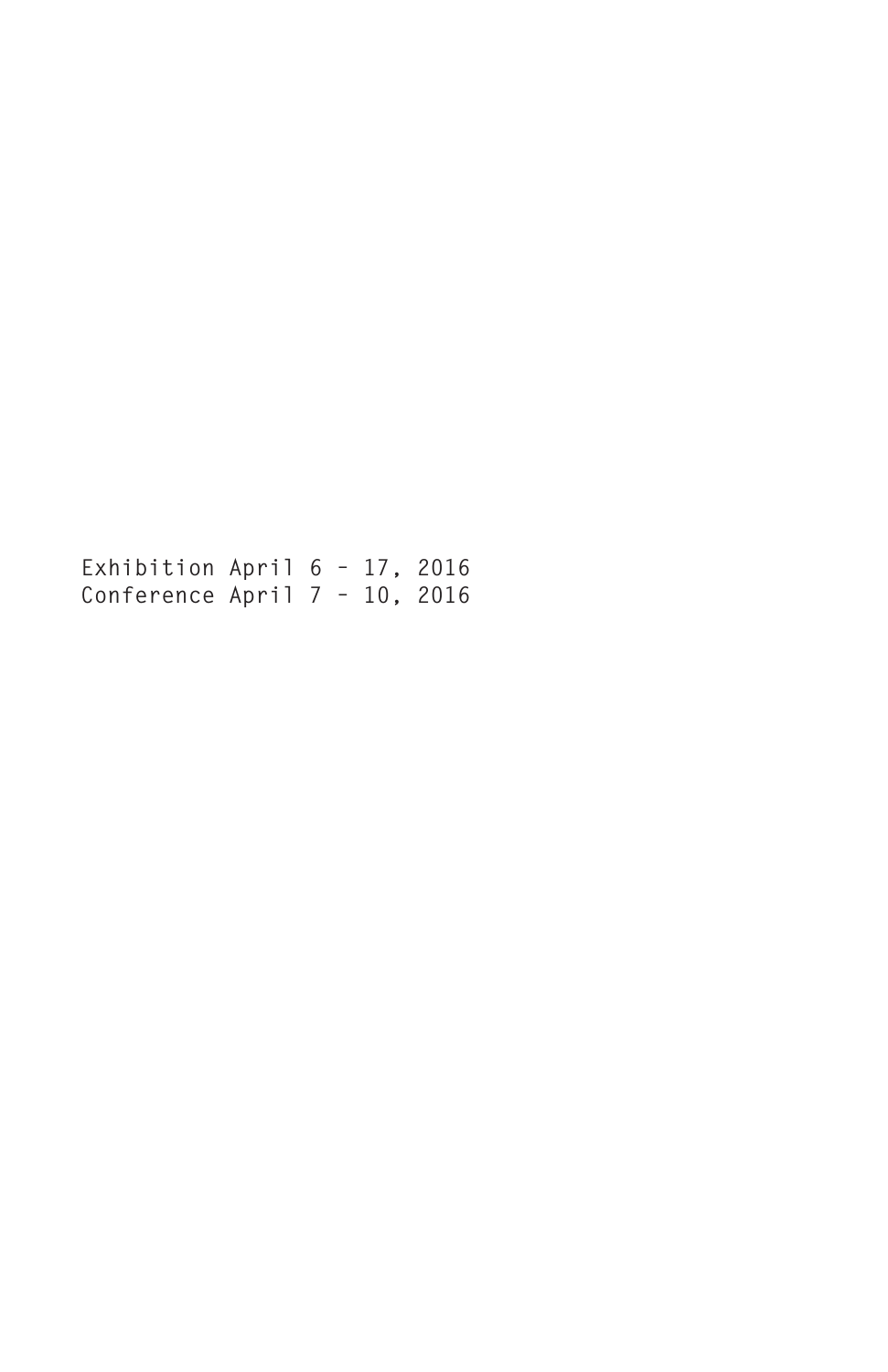**Exhibition April 6 – 17, 2016 Conference April 7 – 10, 2016**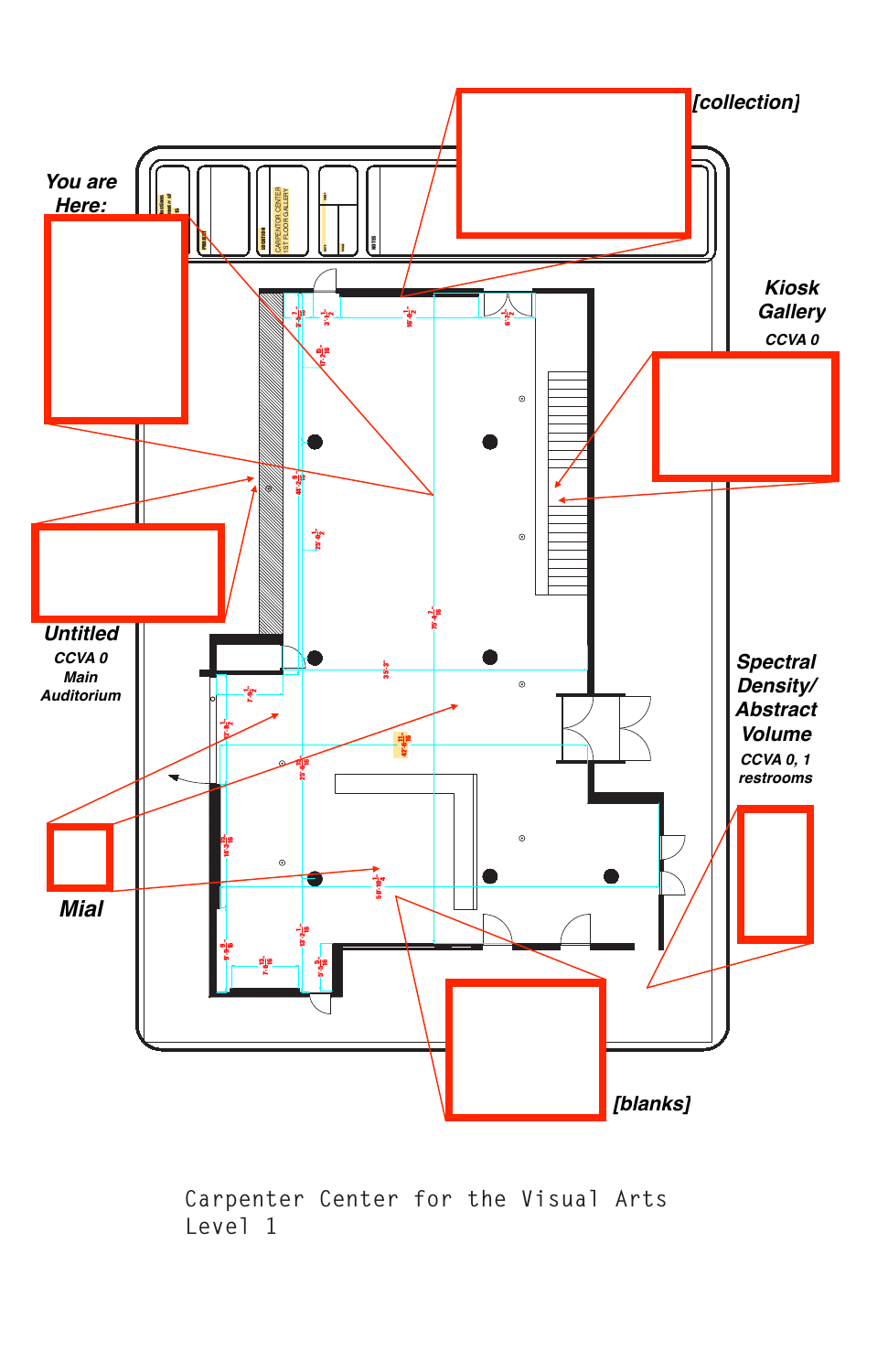

**Carpenter Center for the Visual Arts Level 1**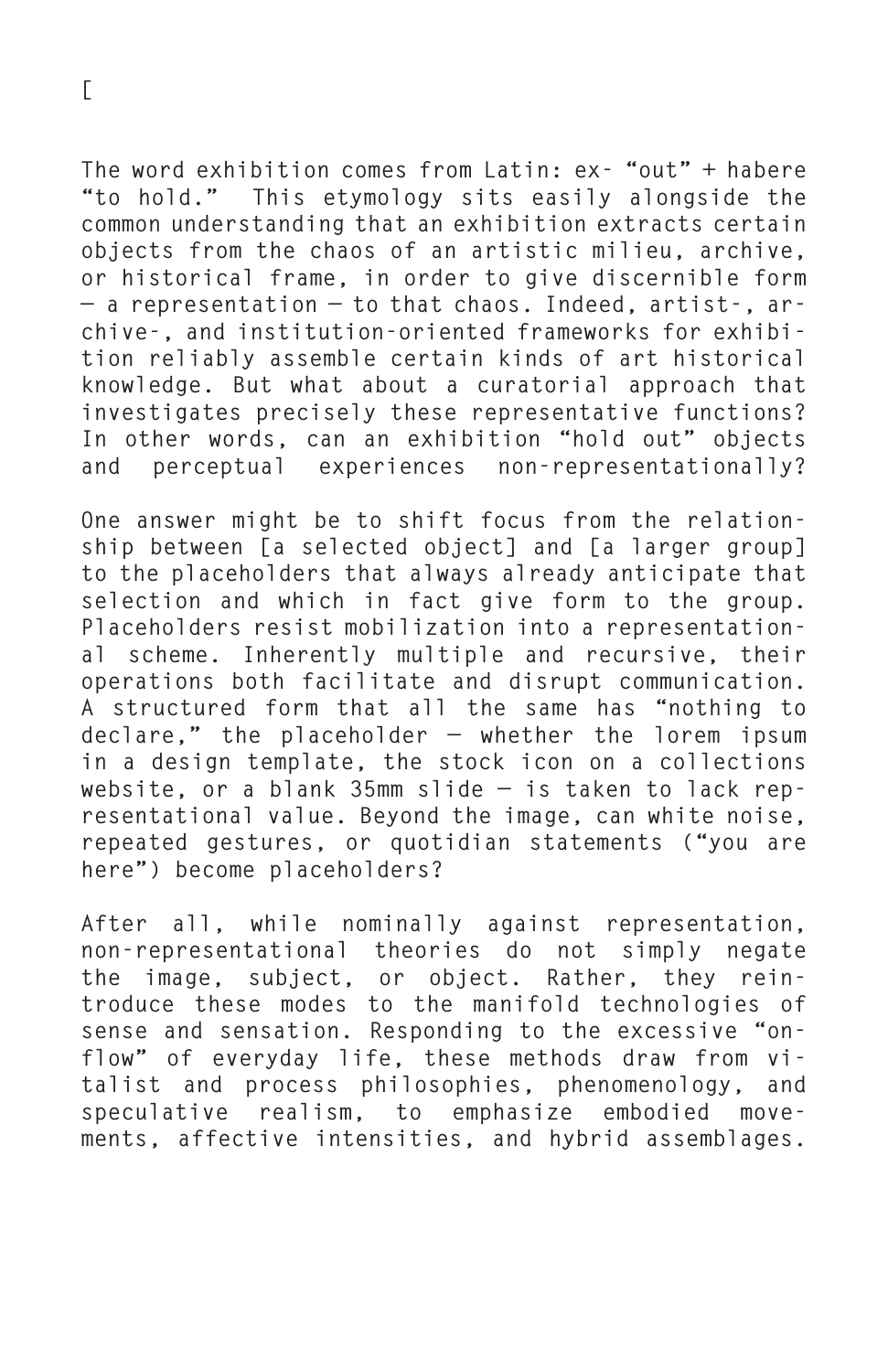**The word exhibition comes from Latin: ex- "out" + habere "to hold." This etymology sits easily alongside the common understanding that an exhibition extracts certain objects from the chaos of an artistic milieu, archive, or historical frame, in order to give discernible form — a representation — to that chaos. Indeed, artist-, archive-, and institution-oriented frameworks for exhibition reliably assemble certain kinds of art historical knowledge. But what about a curatorial approach that investigates precisely these representative functions? In other words, can an exhibition "hold out" objects and perceptual experiences non-representationally?**

**One answer might be to shift focus from the relationship between [a selected object] and [a larger group] to the placeholders that always already anticipate that selection and which in fact give form to the group. Placeholders resist mobilization into a representational scheme. Inherently multiple and recursive, their operations both facilitate and disrupt communication. A structured form that all the same has "nothing to declare," the placeholder — whether the lorem ipsum in a design template, the stock icon on a collections website, or a blank 35mm slide — is taken to lack representational value. Beyond the image, can white noise, repeated gestures, or quotidian statements ("you are here") become placeholders?**

**After all, while nominally against representation, non-representational theories do not simply negate the image, subject, or object. Rather, they reintroduce these modes to the manifold technologies of sense and sensation. Responding to the excessive "onflow" of everyday life, these methods draw from vitalist and process philosophies, phenomenology, and speculative realism, to emphasize embodied movements, affective intensities, and hybrid assemblages.**

**[**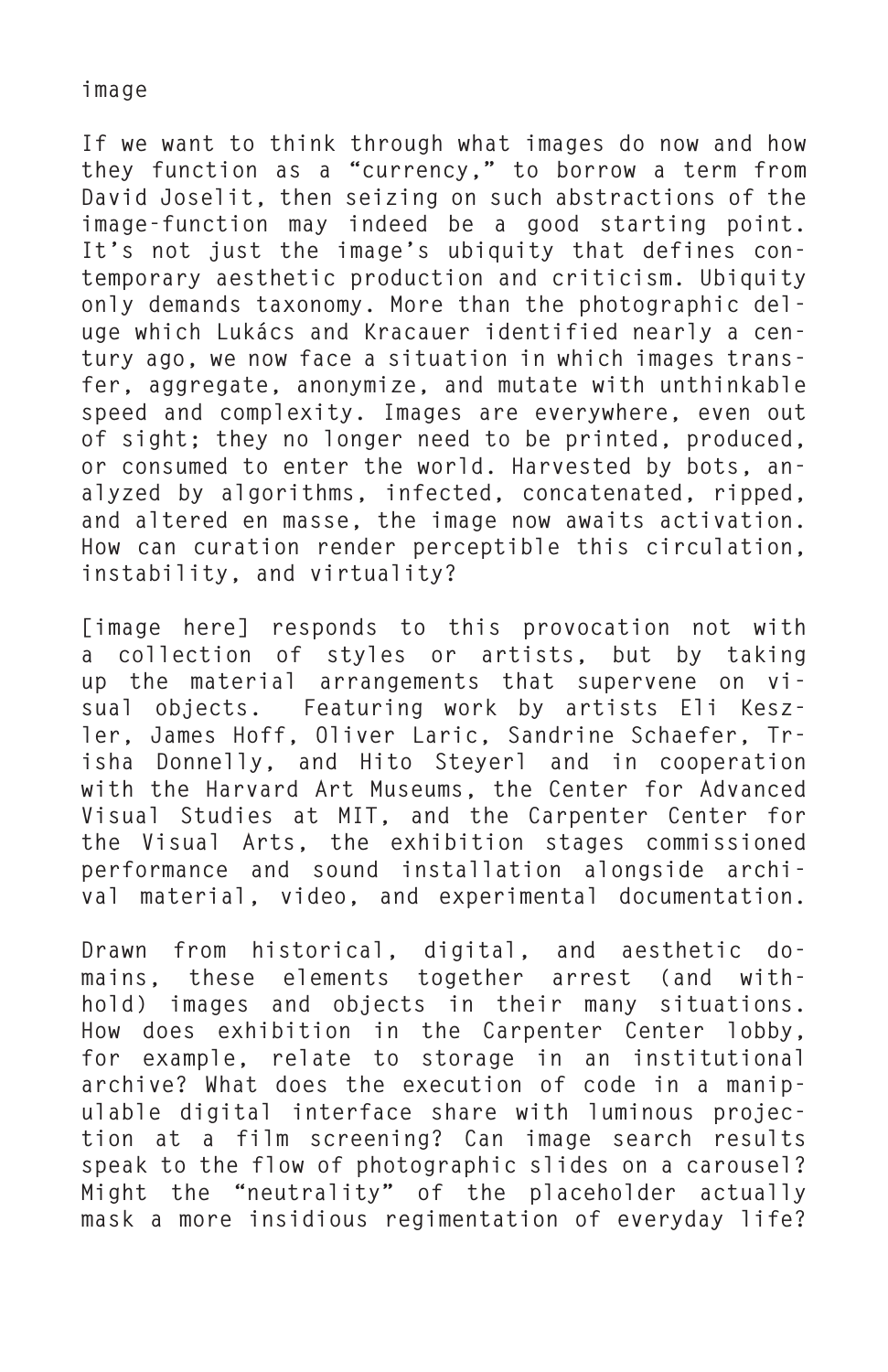### **image**

**If we want to think through what images do now and how they function as a "currency," to borrow a term from David Joselit, then seizing on such abstractions of the image-function may indeed be a good starting point. It's not just the image's ubiquity that defines contemporary aesthetic production and criticism. Ubiquity only demands taxonomy. More than the photographic deluge which Lukács and Kracauer identified nearly a century ago, we now face a situation in which images transfer, aggregate, anonymize, and mutate with unthinkable speed and complexity. Images are everywhere, even out of sight; they no longer need to be printed, produced, or consumed to enter the world. Harvested by bots, analyzed by algorithms, infected, concatenated, ripped, and altered en masse, the image now awaits activation. How can curation render perceptible this circulation, instability, and virtuality?**

**[image here] responds to this provocation not with a collection of styles or artists, but by taking up the material arrangements that supervene on visual objects. Featuring work by artists Eli Keszler, James Hoff, Oliver Laric, Sandrine Schaefer, Trisha Donnelly, and Hito Steyerl and in cooperation with the Harvard Art Museums, the Center for Advanced Visual Studies at MIT, and the Carpenter Center for the Visual Arts, the exhibition stages commissioned performance and sound installation alongside archival material, video, and experimental documentation.**

**Drawn from historical, digital, and aesthetic domains, these elements together arrest (and withhold) images and objects in their many situations. How does exhibition in the Carpenter Center lobby, for example, relate to storage in an institutional archive? What does the execution of code in a manipulable digital interface share with luminous projection at a film screening? Can image search results speak to the flow of photographic slides on a carousel? Might the "neutrality" of the placeholder actually mask a more insidious regimentation of everyday life?**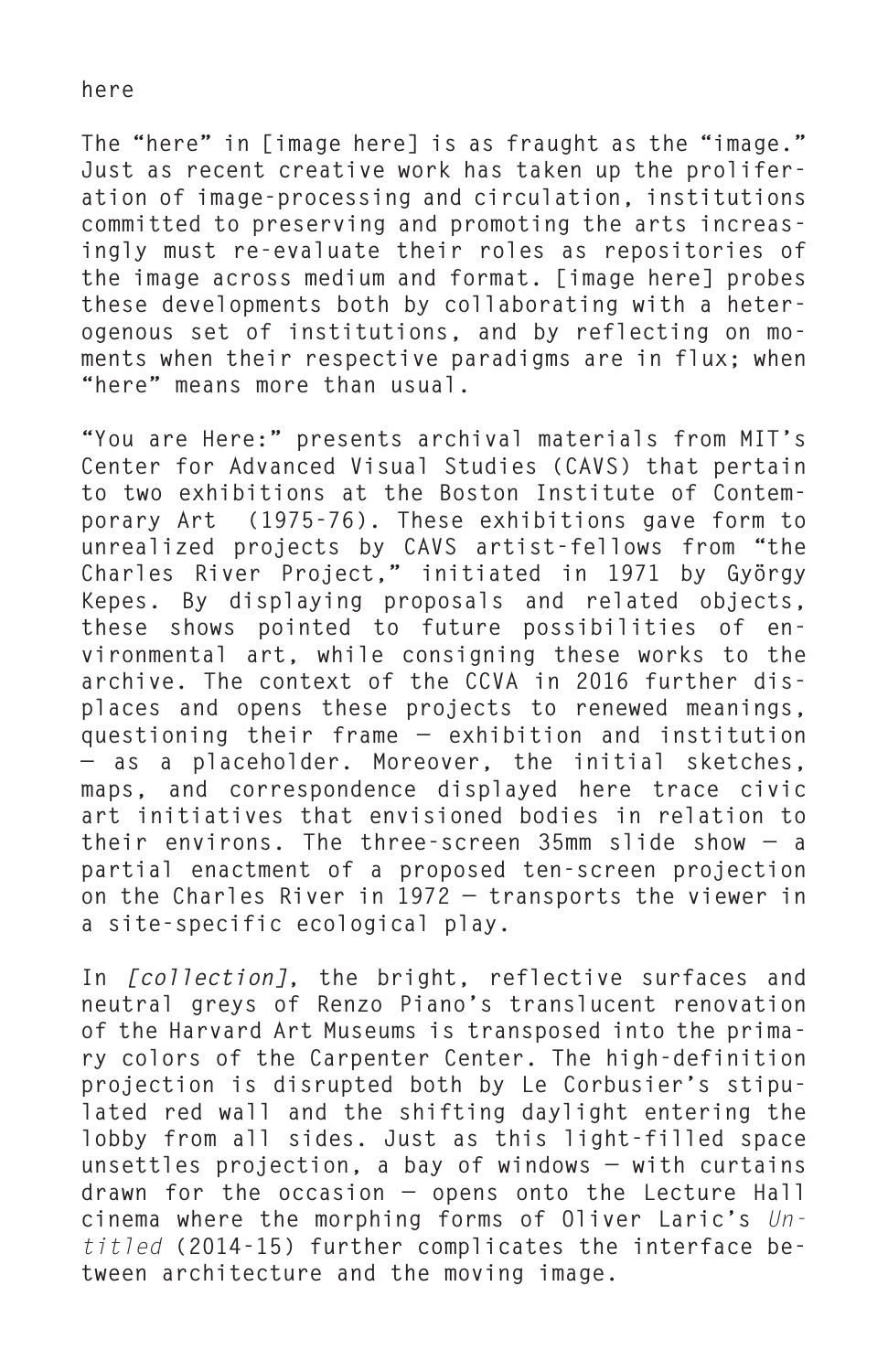**here**

**The "here" in [image here] is as fraught as the "image." Just as recent creative work has taken up the proliferation of image-processing and circulation, institutions committed to preserving and promoting the arts increasingly must re-evaluate their roles as repositories of the image across medium and format. [image here] probes these developments both by collaborating with a heterogenous set of institutions, and by reflecting on moments when their respective paradigms are in flux; when "here" means more than usual.**

**"You are Here:" presents archival materials from MIT's Center for Advanced Visual Studies (CAVS) that pertain to two exhibitions at the Boston Institute of Contemporary Art (1975-76). These exhibitions gave form to unrealized projects by CAVS artist-fellows from "the Charles River Project," initiated in 1971 by György Kepes. By displaying proposals and related objects, these shows pointed to future possibilities of environmental art, while consigning these works to the archive. The context of the CCVA in 2016 further displaces and opens these projects to renewed meanings, questioning their frame — exhibition and institution — as a placeholder. Moreover, the initial sketches, maps, and correspondence displayed here trace civic art initiatives that envisioned bodies in relation to their environs. The three-screen 35mm slide show — a partial enactment of a proposed ten-screen projection on the Charles River in 1972 — transports the viewer in a site-specific ecological play.**

**In** *[collection]***, the bright, reflective surfaces and neutral greys of Renzo Piano's translucent renovation of the Harvard Art Museums is transposed into the primary colors of the Carpenter Center. The high-definition projection is disrupted both by Le Corbusier's stipulated red wall and the shifting daylight entering the lobby from all sides. Just as this light-filled space unsettles projection, a bay of windows — with curtains drawn for the occasion — opens onto the Lecture Hall cinema where the morphing forms of Oliver Laric's** *Untitled* **(2014-15) further complicates the interface between architecture and the moving image.**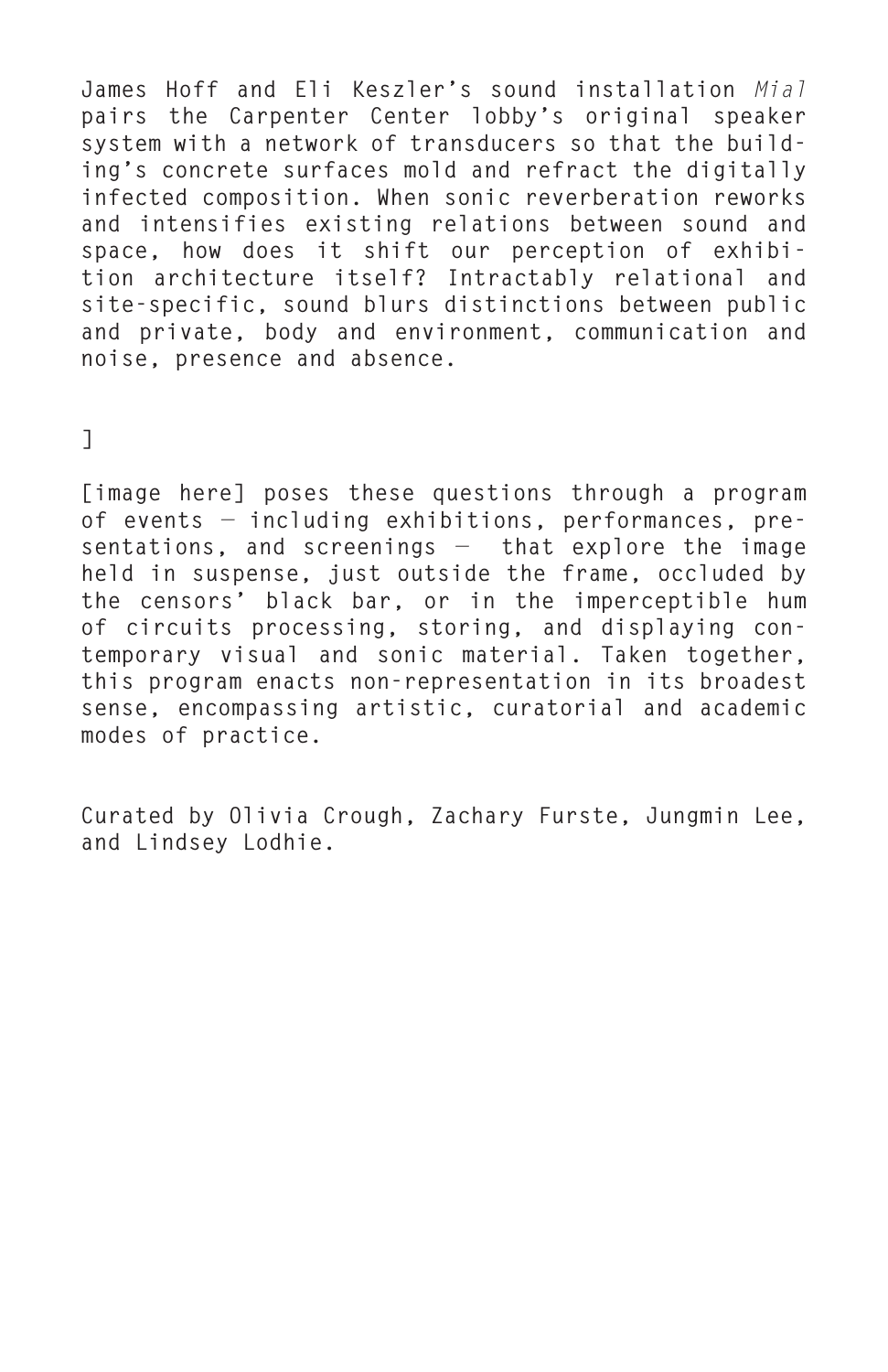**James Hoff and Eli Keszler's sound installation** *Mial*  **pairs the Carpenter Center lobby's original speaker system with a network of transducers so that the building's concrete surfaces mold and refract the digitally infected composition. When sonic reverberation reworks and intensifies existing relations between sound and space, how does it shift our perception of exhibition architecture itself? Intractably relational and site-specific, sound blurs distinctions between public and private, body and environment, communication and noise, presence and absence.** 

**]**

**[image here] poses these questions through a program of events** *—* **including exhibitions, performances, presentations, and screenings** *—* **that explore the image held in suspense, just outside the frame, occluded by the censors' black bar, or in the imperceptible hum of circuits processing, storing, and displaying contemporary visual and sonic material. Taken together, this program enacts non-representation in its broadest sense, encompassing artistic, curatorial and academic modes of practice.**

**Curated by Olivia Crough, Zachary Furste, Jungmin Lee, and Lindsey Lodhie.**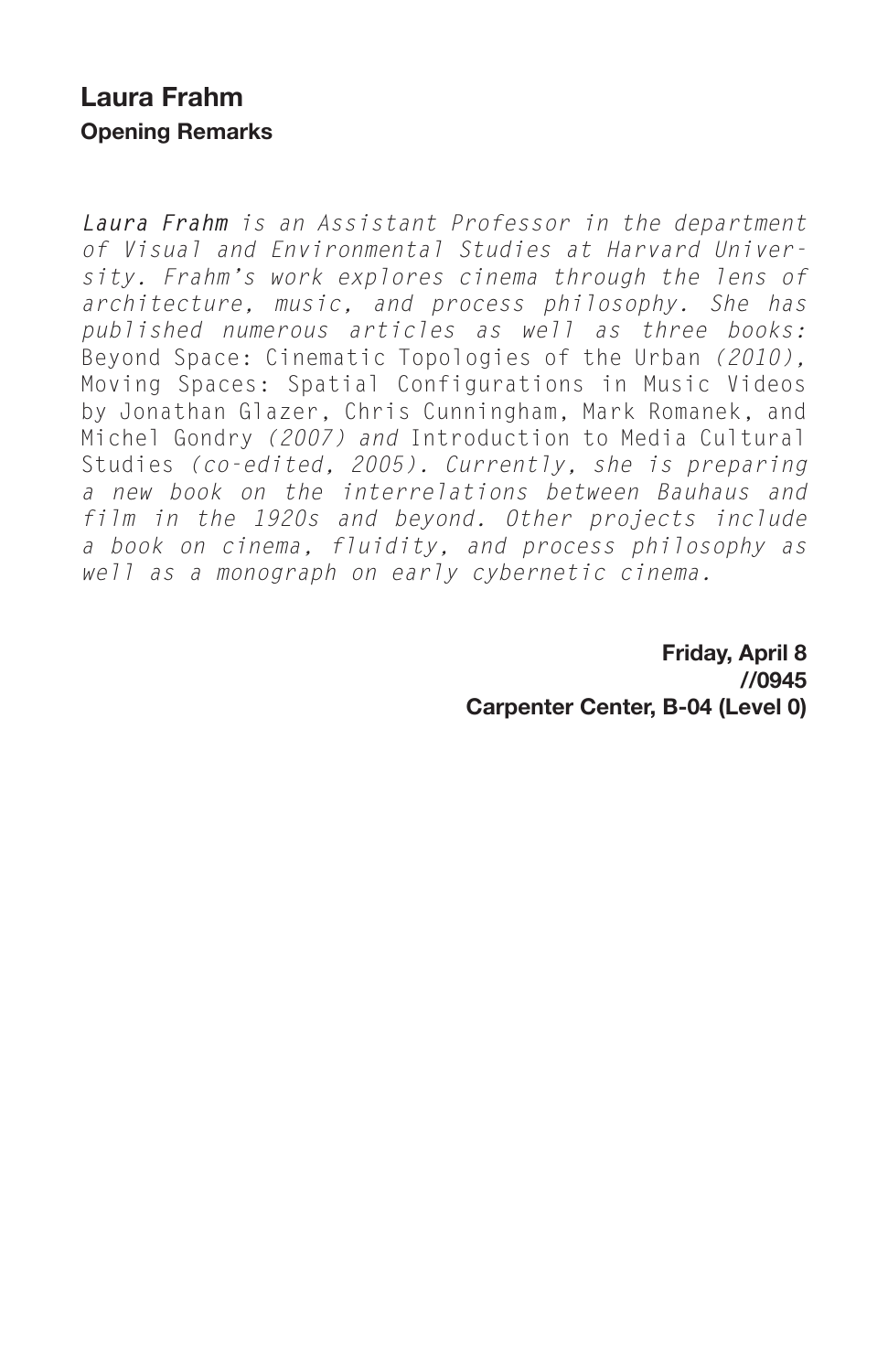# **Laura Frahm Opening Remarks**

*Laura Frahm is an Assistant Professor in the department of Visual and Environmental Studies at Harvard University. Frahm's work explores cinema through the lens of architecture, music, and process philosophy. She has published numerous articles as well as three books:*  Beyond Space: Cinematic Topologies of the Urban *(2010),*  Moving Spaces: Spatial Configurations in Music Videos by Jonathan Glazer, Chris Cunningham, Mark Romanek, and Michel Gondry *(2007) and* Introduction to Media Cultural Studies *(co-edited, 2005). Currently, she is preparing a new book on the interrelations between Bauhaus and film in the 1920s and beyond. Other projects include a book on cinema, fluidity, and process philosophy as well as a monograph on early cybernetic cinema.*

> **Friday, April 8 //0945 Carpenter Center, B-04 (Level 0)**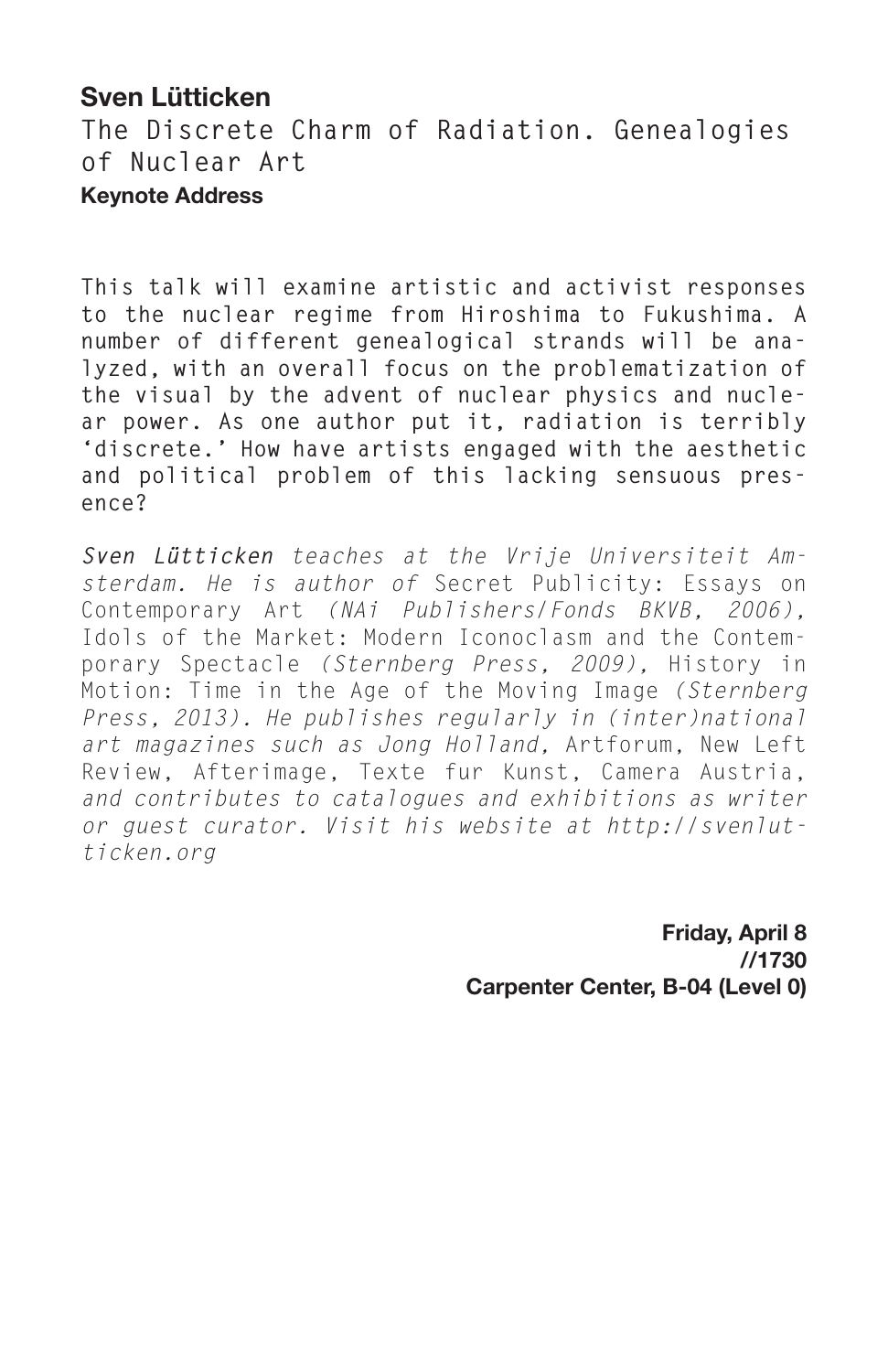# **Sven Lütticken**

**The Discrete Charm of Radiation. Genealogies of Nuclear Art**

# **Keynote Address**

**This talk will examine artistic and activist responses to the nuclear regime from Hiroshima to Fukushima. A number of different genealogical strands will be analyzed, with an overall focus on the problematization of the visual by the advent of nuclear physics and nuclear power. As one author put it, radiation is terribly 'discrete.' How have artists engaged with the aesthetic and political problem of this lacking sensuous presence?**

*Sven Lütticken teaches at the Vrije Universiteit Amsterdam. He is author of* Secret Publicity: Essays on Contemporary Art *(NAi Publishers/Fonds BKVB, 2006),*  Idols of the Market: Modern Iconoclasm and the Contemporary Spectacle *(Sternberg Press, 2009),* History in Motion: Time in the Age of the Moving Image *(Sternberg Press, 2013). He publishes regularly in (inter)national art magazines such as Jong Holland,* Artforum, New Left Review, Afterimage, Texte fur Kunst, Camera Austria, *and contributes to catalogues and exhibitions as writer or guest curator. Visit his website at http://svenlutticken.org*

> **Friday, April 8 //1730 Carpenter Center, B-04 (Level 0)**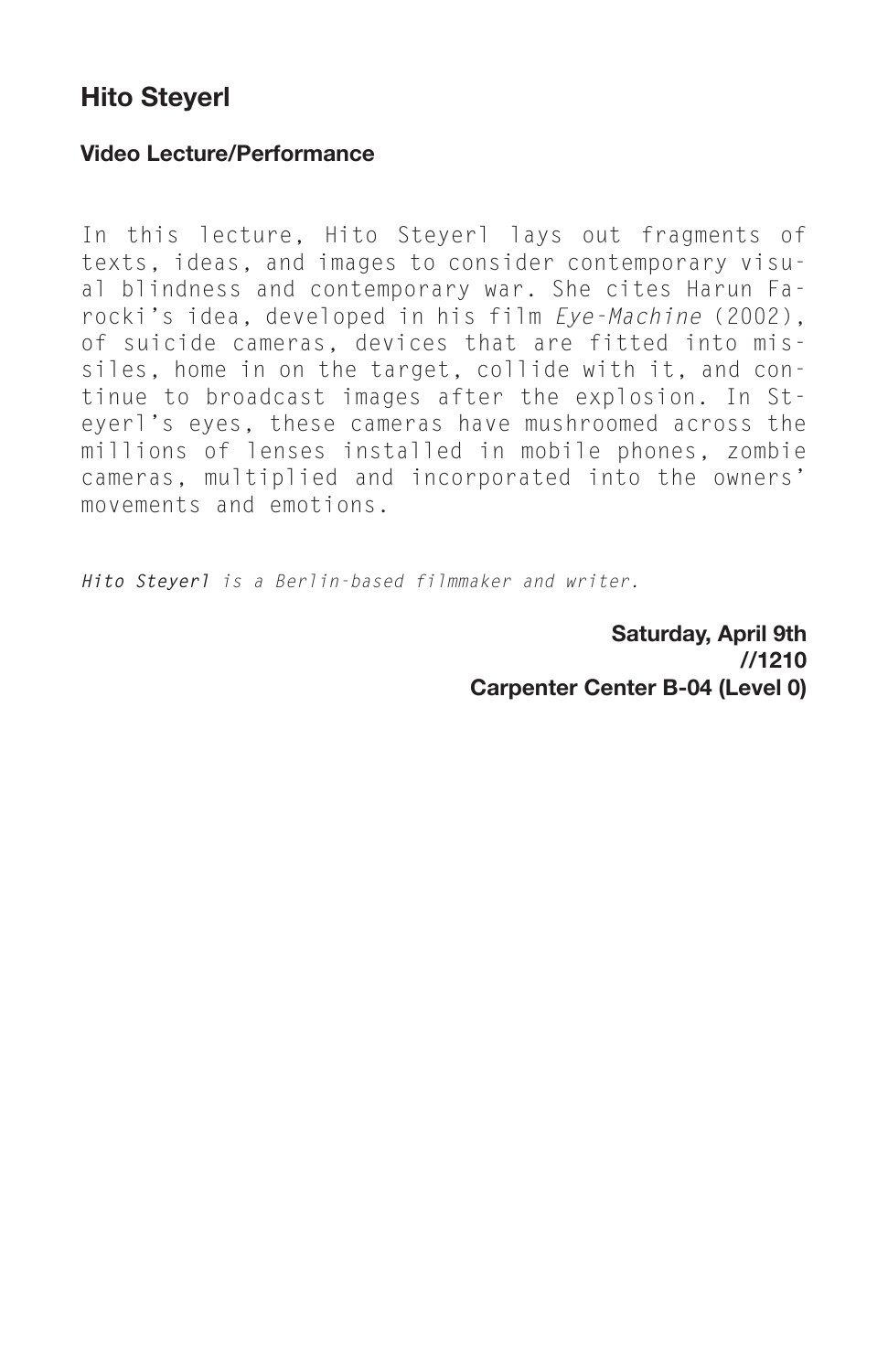# **Hito Steyerl**

### **Video Lecture/Performance**

In this lecture, Hito Steyerl lays out fragments of texts, ideas, and images to consider contemporary visual blindness and contemporary war. She cites Harun Farocki's idea, developed in his film *Eye-Machine* (2002), of suicide cameras, devices that are fitted into missiles, home in on the target, collide with it, and continue to broadcast images after the explosion. In Steyerl's eyes, these cameras have mushroomed across the millions of lenses installed in mobile phones, zombie cameras, multiplied and incorporated into the owners' movements and emotions.

*Hito Steyerl is a Berlin-based filmmaker and writer.*

**Saturday, April 9th //1210 Carpenter Center B-04 (Level 0)**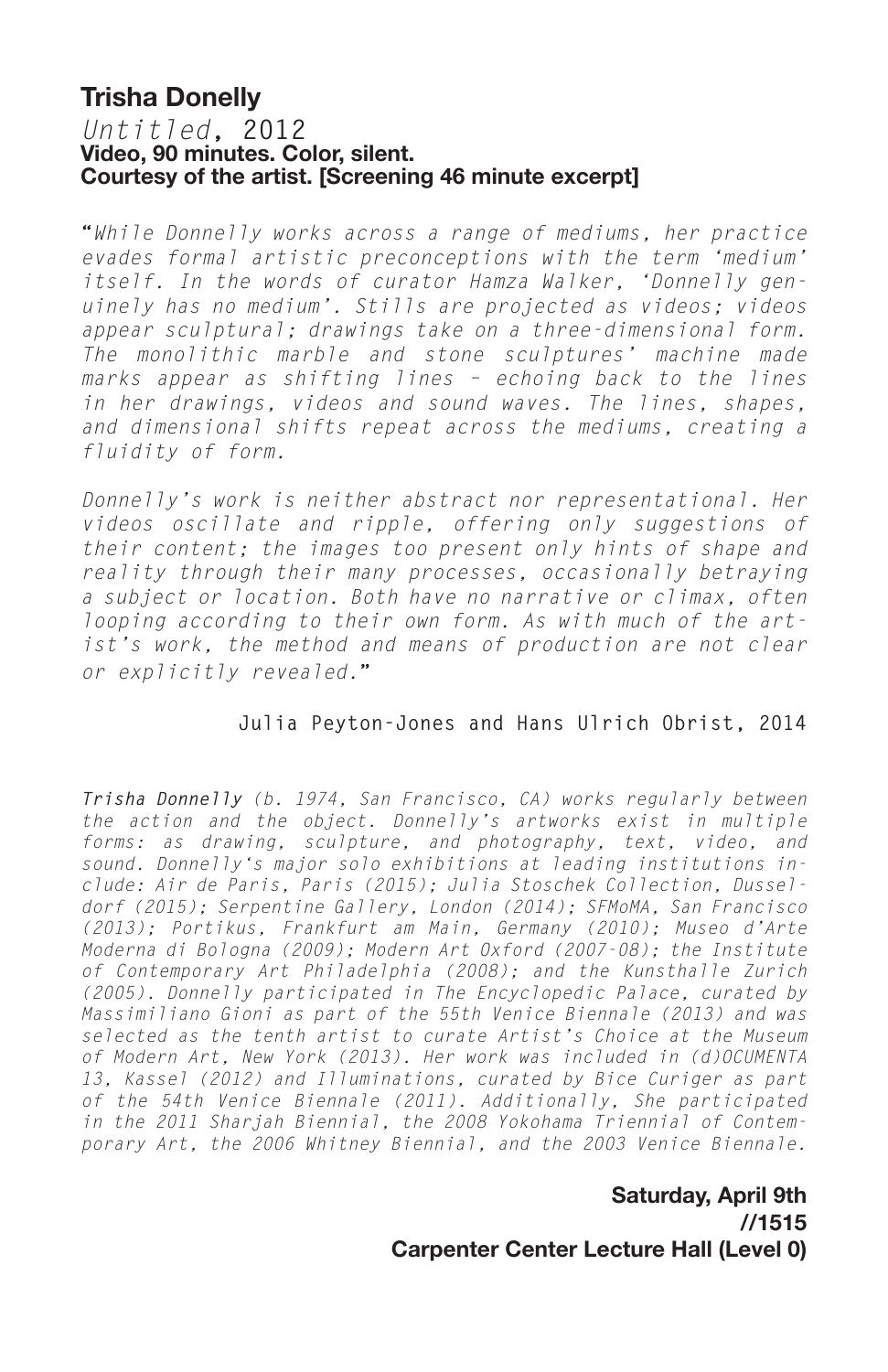# **Trisha Donelly**

### *Untitled***, 2012 Video, 90 minutes. Color, silent. Courtesy of the artist. [Screening 46 minute excerpt]**

**"***While Donnelly works across a range of mediums, her practice evades formal artistic preconceptions with the term 'medium' itself. In the words of curator Hamza Walker, 'Donnelly genuinely has no medium'. Stills are projected as videos; videos appear sculptural; drawings take on a three-dimensional form. The monolithic marble and stone sculptures' machine made marks appear as shifting lines – echoing back to the lines in her drawings, videos and sound waves. The lines, shapes, and dimensional shifts repeat across the mediums, creating a fluidity of form.*

*Donnelly's work is neither abstract nor representational. Her videos oscillate and ripple, offering only suggestions of their content; the images too present only hints of shape and reality through their many processes, occasionally betraying a subject or location. Both have no narrative or climax, often looping according to their own form. As with much of the artist's work, the method and means of production are not clear or explicitly revealed.***"**

### **Julia Peyton-Jones and Hans Ulrich Obrist, 2014**

*Trisha Donnelly (b. 1974, San Francisco, CA) works regularly between the action and the object. Donnelly's artworks exist in multiple forms: as drawing, sculpture, and photography, text, video, and sound. Donnelly's major solo exhibitions at leading institutions include: Air de Paris, Paris (2015); Julia Stoschek Collection, Dusseldorf (2015); Serpentine Gallery, London (2014); SFMoMA, San Francisco (2013); Portikus, Frankfurt am Main, Germany (2010); Museo d'Arte Moderna di Bologna (2009); Modern Art Oxford (2007-08); the Institute of Contemporary Art Philadelphia (2008); and the Kunsthalle Zurich (2005). Donnelly participated in The Encyclopedic Palace, curated by Massimiliano Gioni as part of the 55th Venice Biennale (2013) and was selected as the tenth artist to curate Artist's Choice at the Museum of Modern Art, New York (2013). Her work was included in (d)OCUMENTA 13, Kassel (2012) and Illuminations, curated by Bice Curiger as part of the 54th Venice Biennale (2011). Additionally, She participated in the 2011 Sharjah Biennial, the 2008 Yokohama Triennial of Contemporary Art, the 2006 Whitney Biennial, and the 2003 Venice Biennale.*

> **Saturday, April 9th //1515 Carpenter Center Lecture Hall (Level 0)**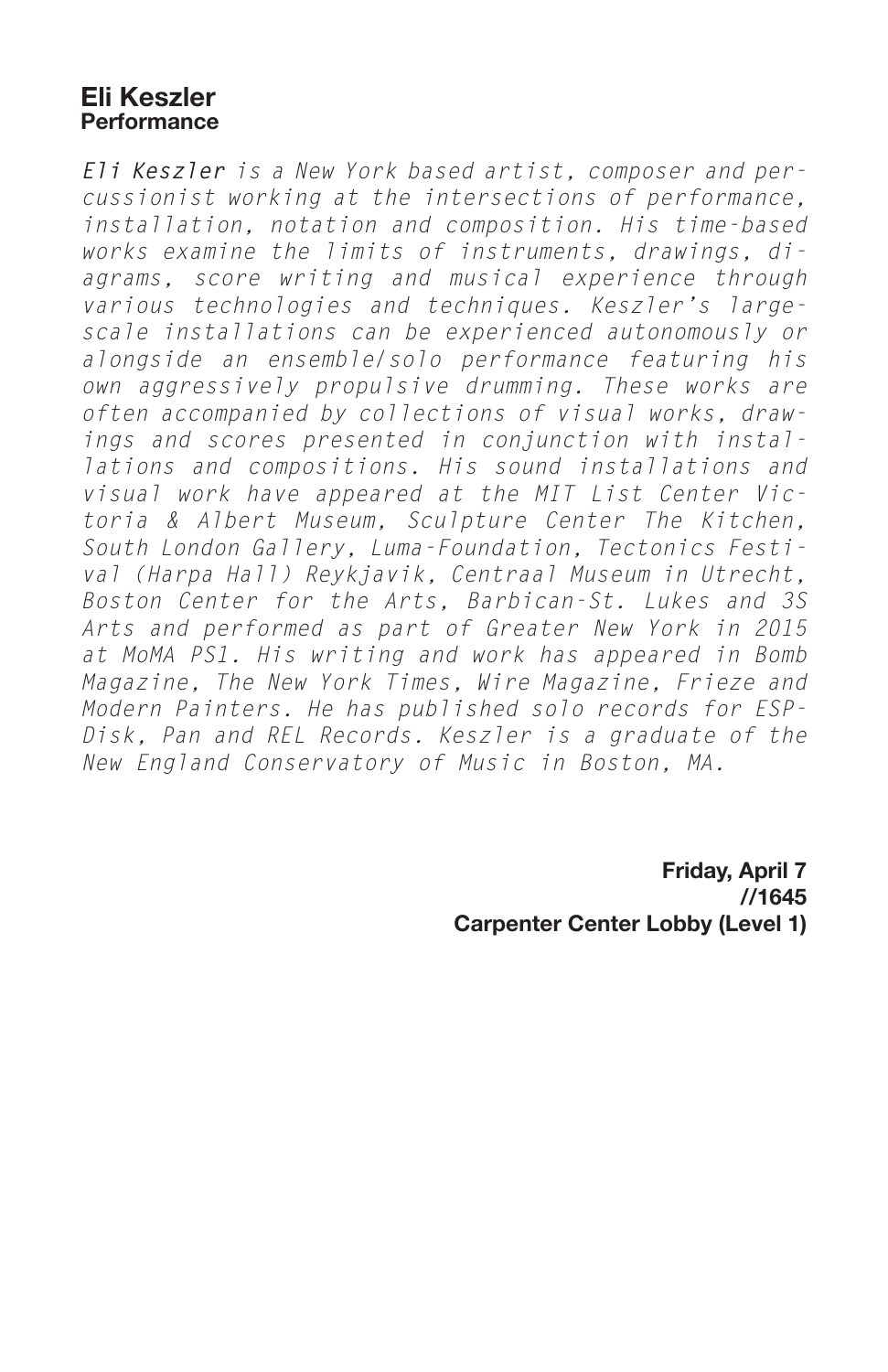# **Eli Keszler Performance**

*Eli Keszler is a New York based artist, composer and percussionist working at the intersections of performance, installation, notation and composition. His time-based works examine the limits of instruments, drawings, diagrams, score writing and musical experience through various technologies and techniques. Keszler's largescale installations can be experienced autonomously or alongside an ensemble/solo performance featuring his own aggressively propulsive drumming. These works are often accompanied by collections of visual works, drawings and scores presented in conjunction with installations and compositions. His sound installations and visual work have appeared at the MIT List Center Victoria & Albert Museum, Sculpture Center The Kitchen, South London Gallery, Luma-Foundation, Tectonics Festival (Harpa Hall) Reykjavik, Centraal Museum in Utrecht, Boston Center for the Arts, Barbican-St. Lukes and 3S Arts and performed as part of Greater New York in 2015 at MoMA PS1. His writing and work has appeared in Bomb Magazine, The New York Times, Wire Magazine, Frieze and Modern Painters. He has published solo records for ESP-Disk, Pan and REL Records. Keszler is a graduate of the New England Conservatory of Music in Boston, MA.*

> **Friday, April 7 //1645 Carpenter Center Lobby (Level 1)**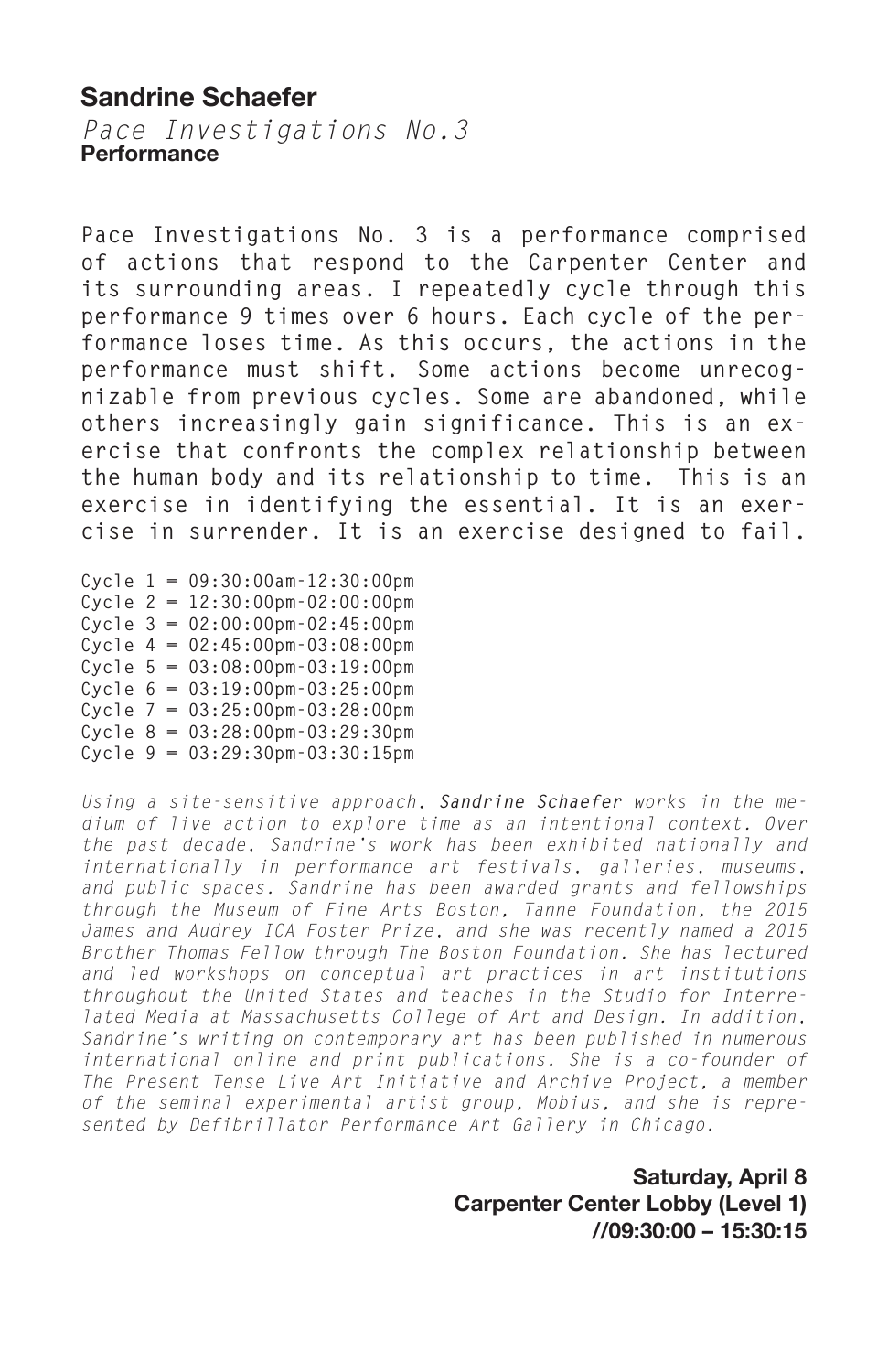# **Sandrine Schaefer**

*Pace Investigations No.3* **Performance**

**Pace Investigations No. 3 is a performance comprised of actions that respond to the Carpenter Center and its surrounding areas. I repeatedly cycle through this performance 9 times over 6 hours. Each cycle of the performance loses time. As this occurs, the actions in the performance must shift. Some actions become unrecognizable from previous cycles. Some are abandoned, while others increasingly gain significance. This is an exercise that confronts the complex relationship between the human body and its relationship to time. This is an exercise in identifying the essential. It is an exercise in surrender. It is an exercise designed to fail.** 

**Cycle 1 = 09:30:00am-12:30:00pm Cycle 2 = 12:30:00pm-02:00:00pm Cycle 3 = 02:00:00pm-02:45:00pm Cycle 4 = 02:45:00pm-03:08:00pm Cycle 5 = 03:08:00pm-03:19:00pm Cycle 6 = 03:19:00pm-03:25:00pm Cycle 7 = 03:25:00pm-03:28:00pm Cycle 8 = 03:28:00pm-03:29:30pm Cycle 9 = 03:29:30pm-03:30:15pm**

*Using a site-sensitive approach, Sandrine Schaefer works in the medium of live action to explore time as an intentional context. Over the past decade, Sandrine's work has been exhibited nationally and internationally in performance art festivals, galleries, museums, and public spaces. Sandrine has been awarded grants and fellowships through the Museum of Fine Arts Boston, Tanne Foundation, the 2015 James and Audrey ICA Foster Prize, and she was recently named a 2015 Brother Thomas Fellow through The Boston Foundation. She has lectured and led workshops on conceptual art practices in art institutions throughout the United States and teaches in the Studio for Interrelated Media at Massachusetts College of Art and Design. In addition, Sandrine's writing on contemporary art has been published in numerous international online and print publications. She is a co-founder of The Present Tense Live Art Initiative and Archive Project, a member of the seminal experimental artist group, Mobius, and she is represented by Defibrillator Performance Art Gallery in Chicago.*

> **Saturday, April 8 Carpenter Center Lobby (Level 1) //09:30:00 – 15:30:15**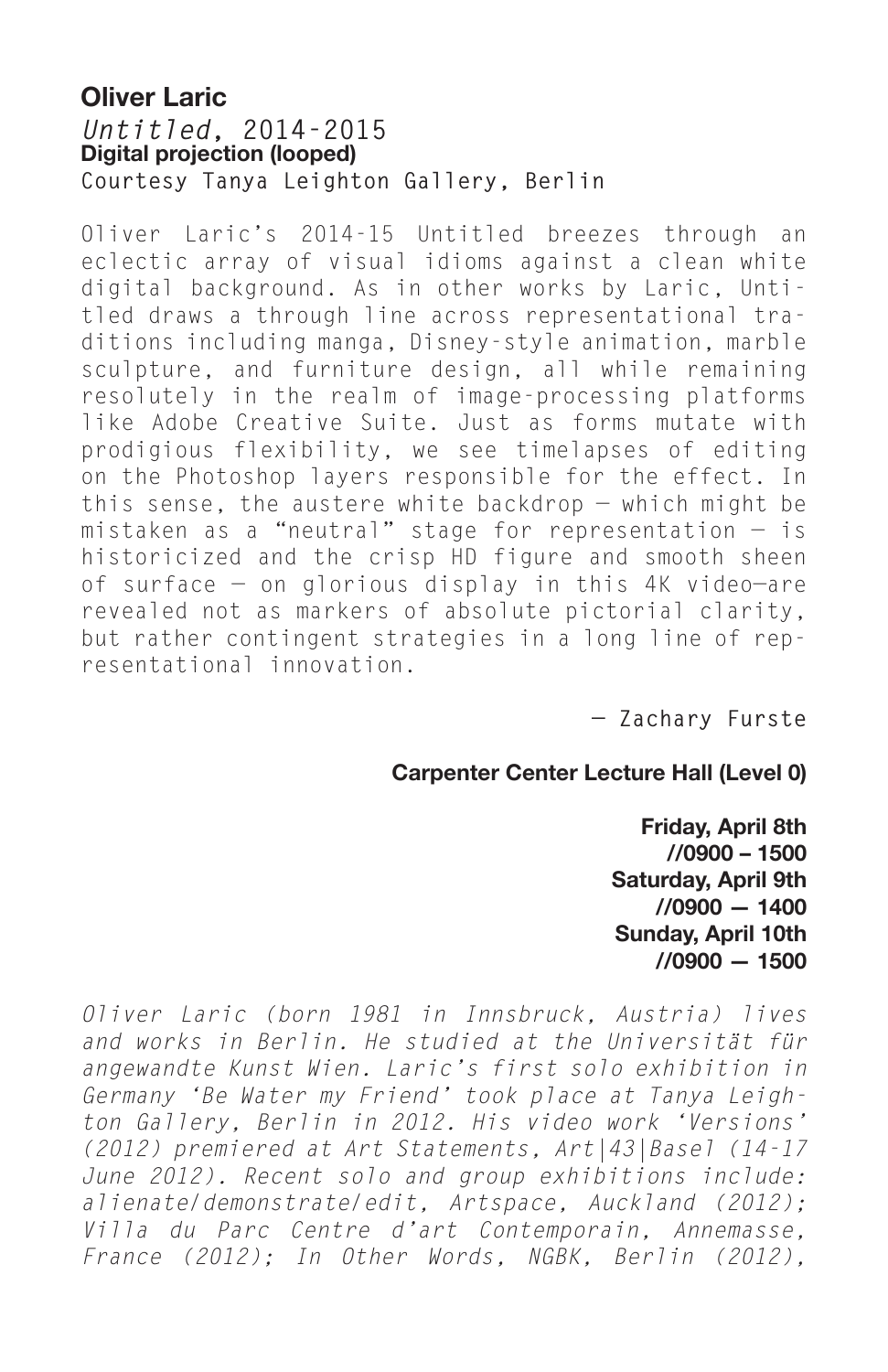### **Oliver Laric** *Untitled***, 2014-2015 Digital projection (looped) Courtesy Tanya Leighton Gallery, Berlin**

Oliver Laric's 2014-15 Untitled breezes through an eclectic array of visual idioms against a clean white digital background. As in other works by Laric, Untitled draws a through line across representational traditions including manga, Disney-style animation, marble sculpture, and furniture design, all while remaining resolutely in the realm of image-processing platforms like Adobe Creative Suite. Just as forms mutate with prodigious flexibility, we see timelapses of editing on the Photoshop layers responsible for the effect. In this sense, the austere white backdrop  $-$  which might be mistaken as a "neutral" stage for representation  $-$  is historicized and the crisp HD figure and smooth sheen of surface — on glorious display in this 4K video—are revealed not as markers of absolute pictorial clarity, but rather contingent strategies in a long line of representational innovation.

**— Zachary Furste** 

### **Carpenter Center Lecture Hall (Level 0)**

**Friday, April 8th //0900 – 1500 Saturday, April 9th //0900 — 1400 Sunday, April 10th //0900 — 1500**

*Oliver Laric (born 1981 in Innsbruck, Austria) lives and works in Berlin. He studied at the Universität für angewandte Kunst Wien. Laric's first solo exhibition in Germany 'Be Water my Friend' took place at Tanya Leighton Gallery, Berlin in 2012. His video work 'Versions' (2012) premiered at Art Statements, Art|43|Basel (14-17 June 2012). Recent solo and group exhibitions include: alienate/demonstrate/edit, Artspace, Auckland (2012); Villa du Parc Centre d'art Contemporain, Annemasse, France (2012); In Other Words, NGBK, Berlin (2012),*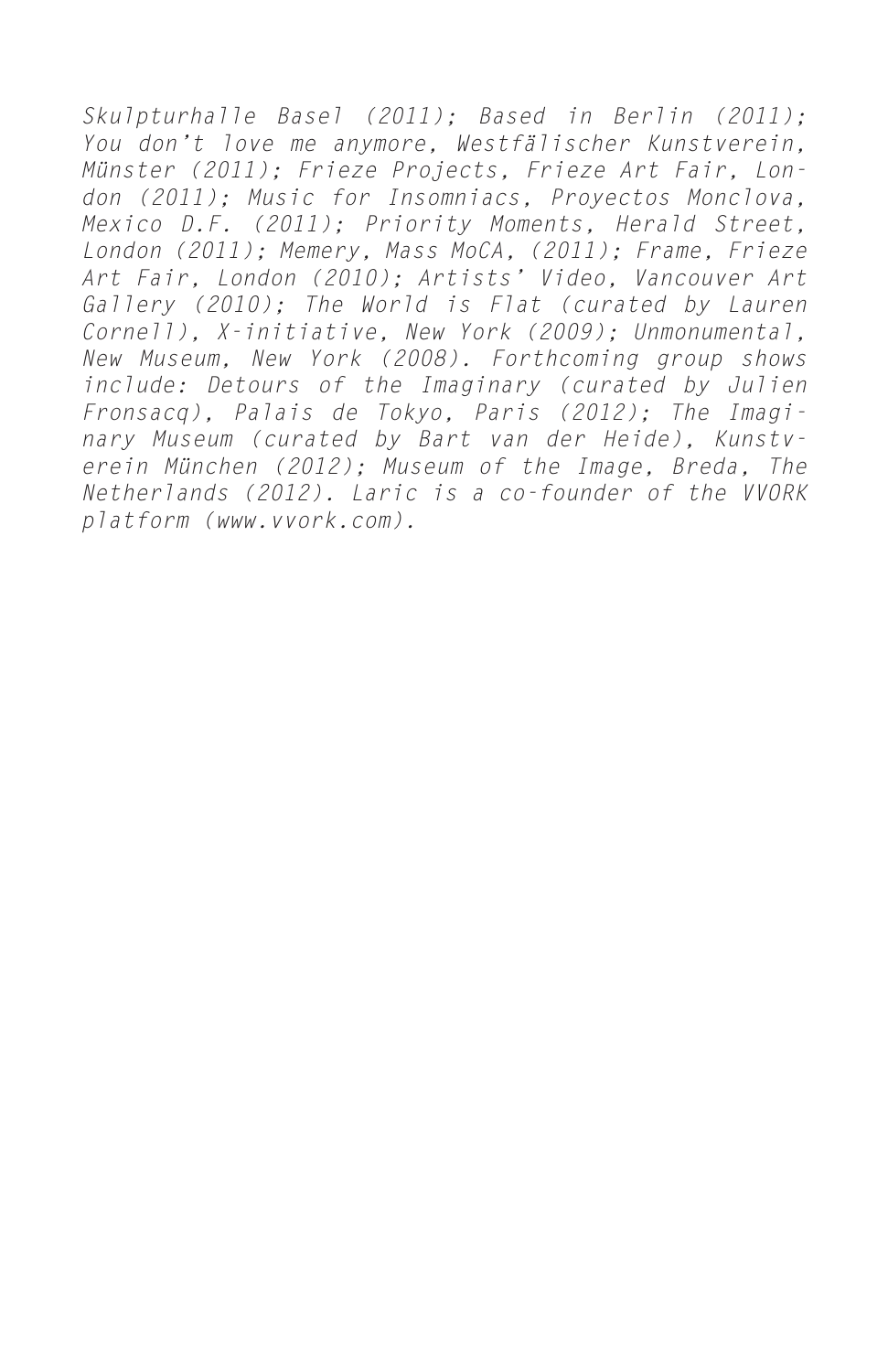*Skulpturhalle Basel (2011); Based in Berlin (2011); You don't love me anymore, Westfälischer Kunstverein, Münster (2011); Frieze Projects, Frieze Art Fair, London (2011); Music for Insomniacs, Proyectos Monclova, Mexico D.F. (2011); Priority Moments, Herald Street, London (2011); Memery, Mass MoCA, (2011); Frame, Frieze Art Fair, London (2010); Artists' Video, Vancouver Art*  Gallery (2010); The World is Flat (curated by Lauren *Cornell), X-initiative, New York (2009); Unmonumental, New Museum, New York (2008). Forthcoming group shows*  include: Detours of the Imaginary (curated by Julien *Fronsacq), Palais de Tokyo, Paris (2012); The Imaginary Museum (curated by Bart van der Heide), Kunstverein München (2012); Museum of the Image, Breda, The Netherlands (2012). Laric is a co-founder of the VVORK platform (www.vvork.com).*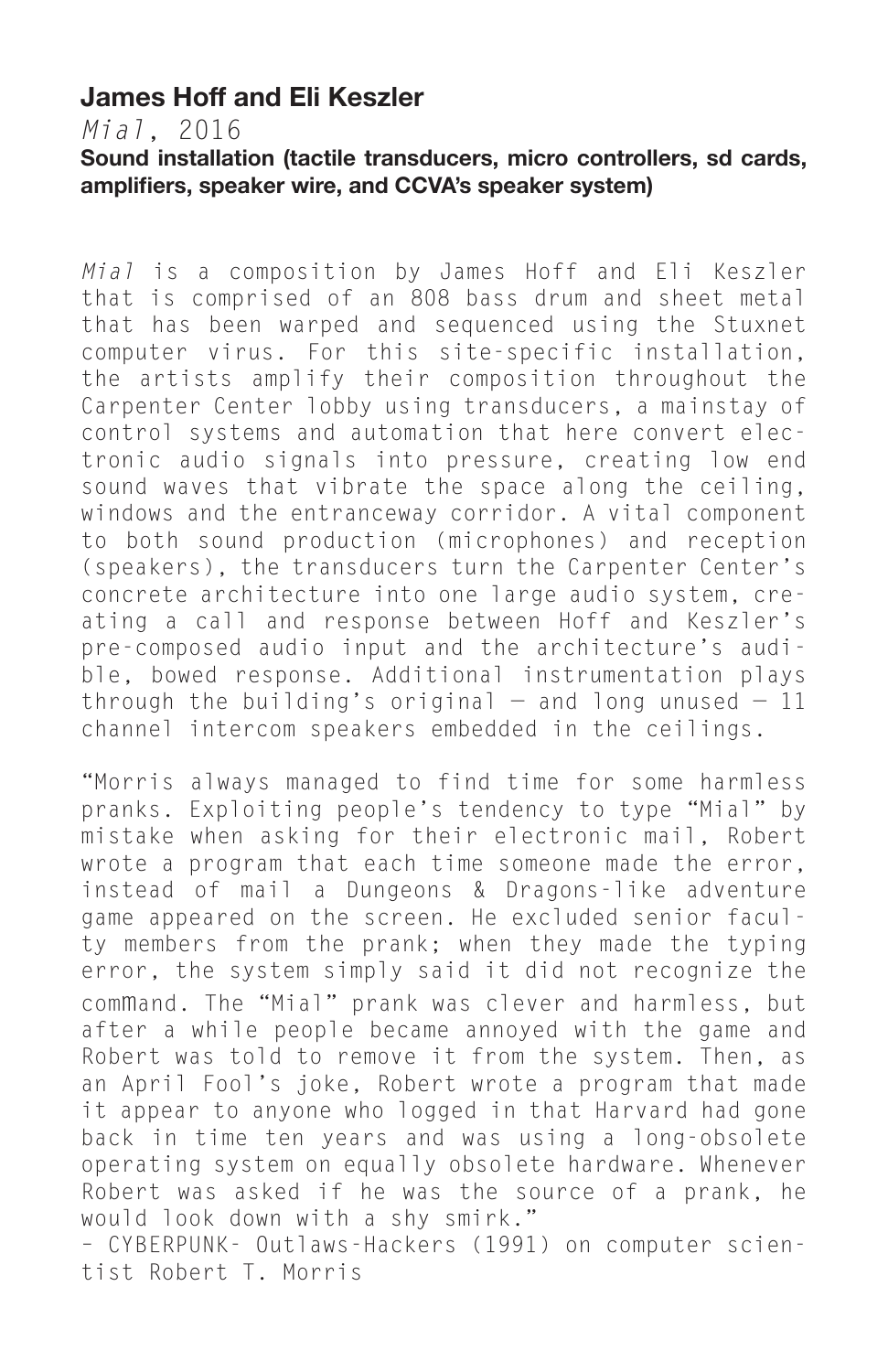# **James Hoff and Eli Keszler**

*Mial*, 2016

**Sound installation (tactile transducers, micro controllers, sd cards, amplifiers, speaker wire, and CCVA's speaker system)**

*Mial* is a composition by James Hoff and Eli Keszler that is comprised of an 808 bass drum and sheet metal that has been warped and sequenced using the Stuxnet computer virus. For this site-specific installation, the artists amplify their composition throughout the Carpenter Center lobby using transducers, a mainstay of control systems and automation that here convert electronic audio signals into pressure, creating low end sound waves that vibrate the space along the ceiling, windows and the entranceway corridor. A vital component to both sound production (microphones) and reception (speakers), the transducers turn the Carpenter Center's concrete architecture into one large audio system, creating a call and response between Hoff and Keszler's pre-composed audio input and the architecture's audible, bowed response. Additional instrumentation plays through the building's original  $-$  and long unused  $-11$ channel intercom speakers embedded in the ceilings.

"Morris always managed to find time for some harmless pranks. Exploiting people's tendency to type "Mial" by mistake when asking for their electronic mail, Robert wrote a program that each time someone made the error, instead of mail a Dungeons & Dragons-like adventure game appeared on the screen. He excluded senior faculty members from the prank; when they made the typing error, the system simply said it did not recognize the command. The "Mial" prank was clever and harmless, but after a while people became annoyed with the game and Robert was told to remove it from the system. Then, as an April Fool's joke, Robert wrote a program that made it appear to anyone who logged in that Harvard had gone back in time ten years and was using a long-obsolete operating system on equally obsolete hardware. Whenever Robert was asked if he was the source of a prank, he would look down with a shy smirk."

– CYBERPUNK- Outlaws-Hackers (1991) on computer scientist Robert T. Morris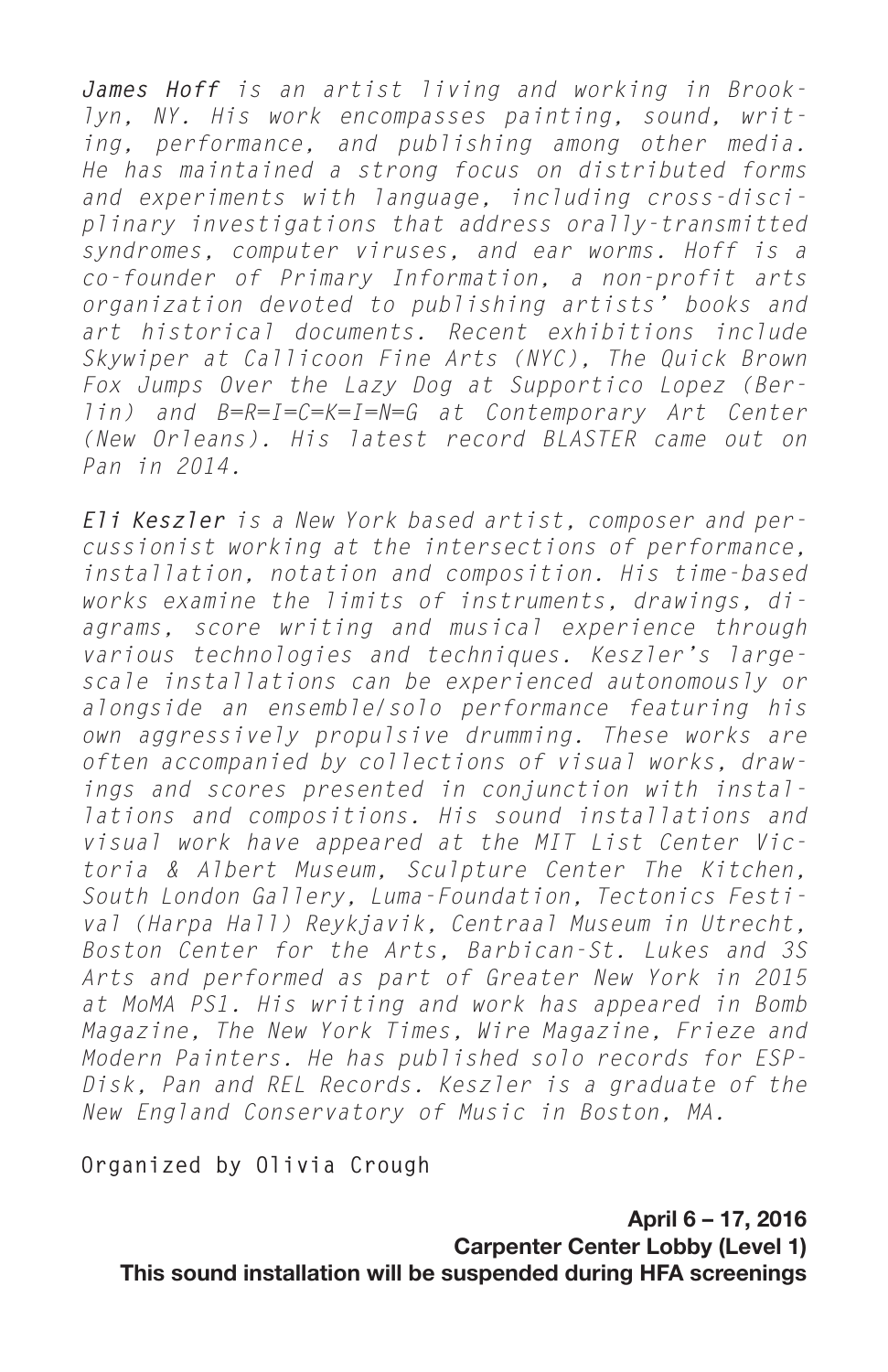*James Hoff is an artist living and working in Brooklyn, NY. His work encompasses painting, sound, writing, performance, and publishing among other media. He has maintained a strong focus on distributed forms and experiments with language, including cross-disciplinary investigations that address orally-transmitted syndromes, computer viruses, and ear worms. Hoff is a co-founder of Primary Information, a non-profit arts organization devoted to publishing artists' books and art historical documents. Recent exhibitions include Skywiper at Callicoon Fine Arts (NYC), The Quick Brown Fox Jumps Over the Lazy Dog at Supportico Lopez (Berlin) and B=R=I=C=K=I=N=G at Contemporary Art Center (New Orleans). His latest record BLASTER came out on Pan in 2014.*

*Eli Keszler is a New York based artist, composer and percussionist working at the intersections of performance, installation, notation and composition. His time-based works examine the limits of instruments, drawings, diagrams, score writing and musical experience through various technologies and techniques. Keszler's largescale installations can be experienced autonomously or alongside an ensemble/solo performance featuring his own aggressively propulsive drumming. These works are often accompanied by collections of visual works, drawings and scores presented in conjunction with installations and compositions. His sound installations and visual work have appeared at the MIT List Center Victoria & Albert Museum, Sculpture Center The Kitchen, South London Gallery, Luma-Foundation, Tectonics Festival (Harpa Hall) Reykjavik, Centraal Museum in Utrecht, Boston Center for the Arts, Barbican-St. Lukes and 3S Arts and performed as part of Greater New York in 2015 at MoMA PS1. His writing and work has appeared in Bomb Magazine, The New York Times, Wire Magazine, Frieze and Modern Painters. He has published solo records for ESP-Disk, Pan and REL Records. Keszler is a graduate of the New England Conservatory of Music in Boston, MA.*

**Organized by Olivia Crough**

**April 6 – 17, 2016 Carpenter Center Lobby (Level 1) This sound installation will be suspended during HFA screenings**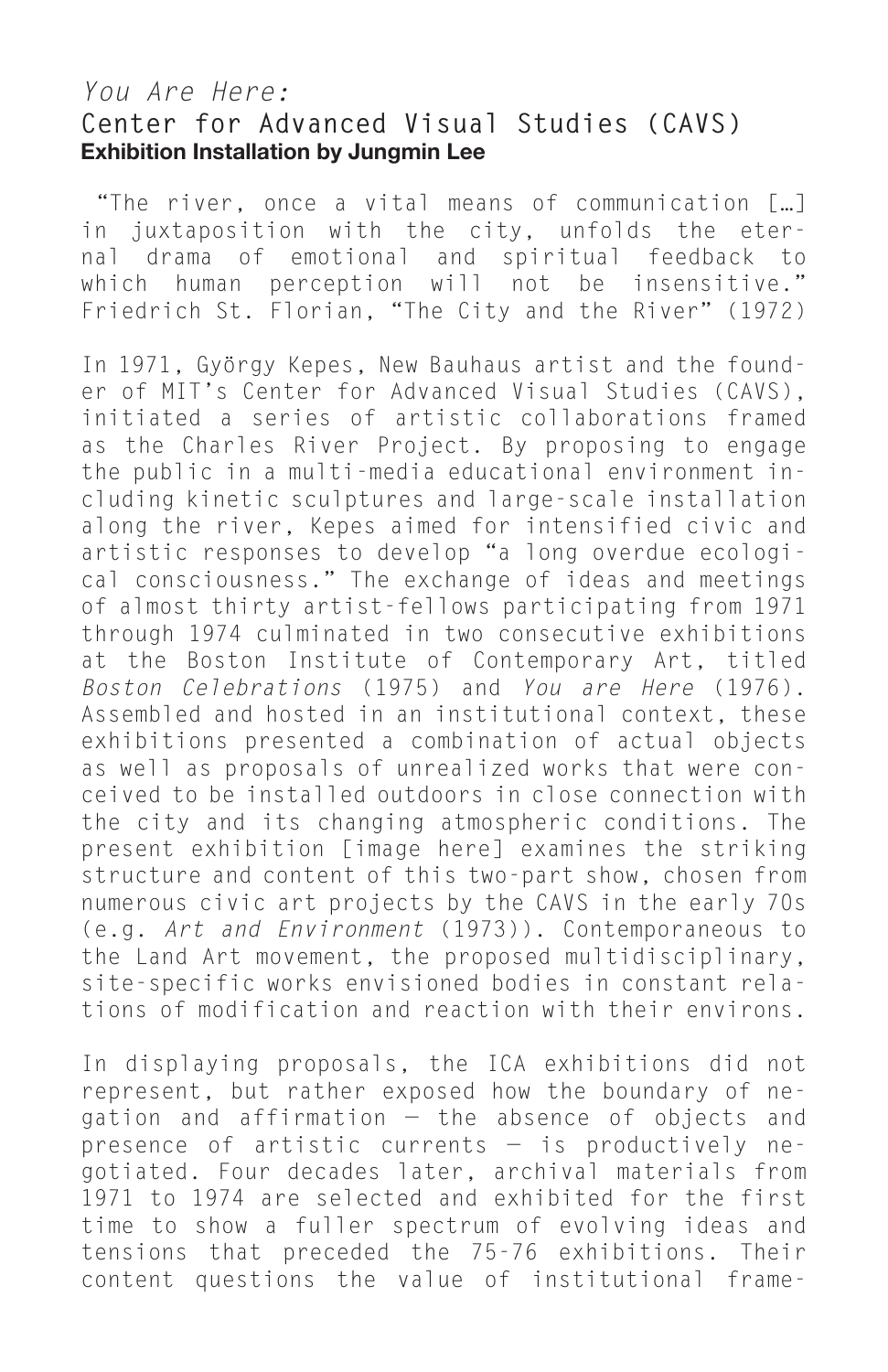# *You Are Here:*  **Center for Advanced Visual Studies (CAVS) Exhibition Installation by Jungmin Lee**

"The river, once a vital means of communication […] in juxtaposition with the city, unfolds the eternal drama of emotional and spiritual feedback to which human perception will not be insensitive." Friedrich St. Florian, "The City and the River" (1972)

In 1971, György Kepes, New Bauhaus artist and the founder of MIT's Center for Advanced Visual Studies (CAVS), initiated a series of artistic collaborations framed as the Charles River Project. By proposing to engage the public in a multi-media educational environment including kinetic sculptures and large-scale installation along the river, Kepes aimed for intensified civic and artistic responses to develop "a long overdue ecological consciousness." The exchange of ideas and meetings of almost thirty artist-fellows participating from 1971 through 1974 culminated in two consecutive exhibitions at the Boston Institute of Contemporary Art, titled *Boston Celebrations* (1975) and *You are Here* (1976). Assembled and hosted in an institutional context, these exhibitions presented a combination of actual objects as well as proposals of unrealized works that were conceived to be installed outdoors in close connection with the city and its changing atmospheric conditions. The present exhibition [image here] examines the striking structure and content of this two-part show, chosen from numerous civic art projects by the CAVS in the early 70s (e.g. *Art and Environment* (1973)). Contemporaneous to the Land Art movement, the proposed multidisciplinary, site-specific works envisioned bodies in constant relations of modification and reaction with their environs.

In displaying proposals, the ICA exhibitions did not represent, but rather exposed how the boundary of negation and affirmation — the absence of objects and presence of artistic currents — is productively negotiated. Four decades later, archival materials from 1971 to 1974 are selected and exhibited for the first time to show a fuller spectrum of evolving ideas and tensions that preceded the 75-76 exhibitions. Their content questions the value of institutional frame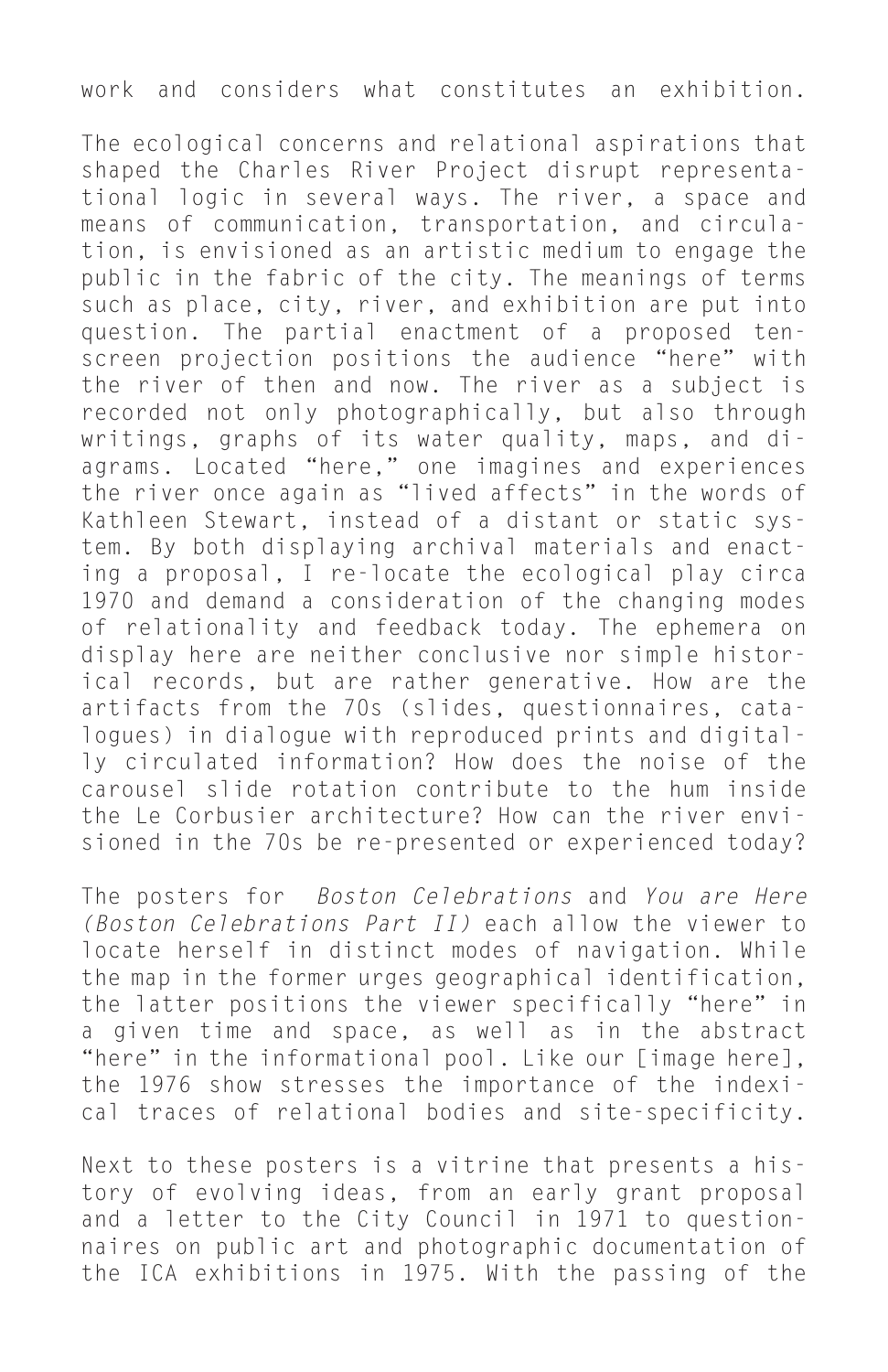work and considers what constitutes an exhibition.

The ecological concerns and relational aspirations that shaped the Charles River Project disrupt representational logic in several ways. The river, a space and means of communication, transportation, and circulation, is envisioned as an artistic medium to engage the public in the fabric of the city. The meanings of terms such as place, city, river, and exhibition are put into question. The partial enactment of a proposed tenscreen projection positions the audience "here" with the river of then and now. The river as a subject is recorded not only photographically, but also through writings, graphs of its water quality, maps, and diagrams. Located "here," one imagines and experiences the river once again as "lived affects" in the words of Kathleen Stewart, instead of a distant or static system. By both displaying archival materials and enacting a proposal, I re-locate the ecological play circa 1970 and demand a consideration of the changing modes of relationality and feedback today. The ephemera on display here are neither conclusive nor simple historical records, but are rather generative. How are the artifacts from the 70s (slides, questionnaires, catalogues) in dialogue with reproduced prints and digitally circulated information? How does the noise of the carousel slide rotation contribute to the hum inside the Le Corbusier architecture? How can the river envisioned in the 70s be re-presented or experienced today?

The posters for *Boston Celebrations* and *You are Here (Boston Celebrations Part II)* each allow the viewer to locate herself in distinct modes of navigation. While the map in the former urges geographical identification, the latter positions the viewer specifically "here" in a given time and space, as well as in the abstract "here" in the informational pool. Like our [image here]. the 1976 show stresses the importance of the indexical traces of relational bodies and site-specificity.

Next to these posters is a vitrine that presents a history of evolving ideas, from an early grant proposal and a letter to the City Council in 1971 to questionnaires on public art and photographic documentation of the ICA exhibitions in 1975. With the passing of the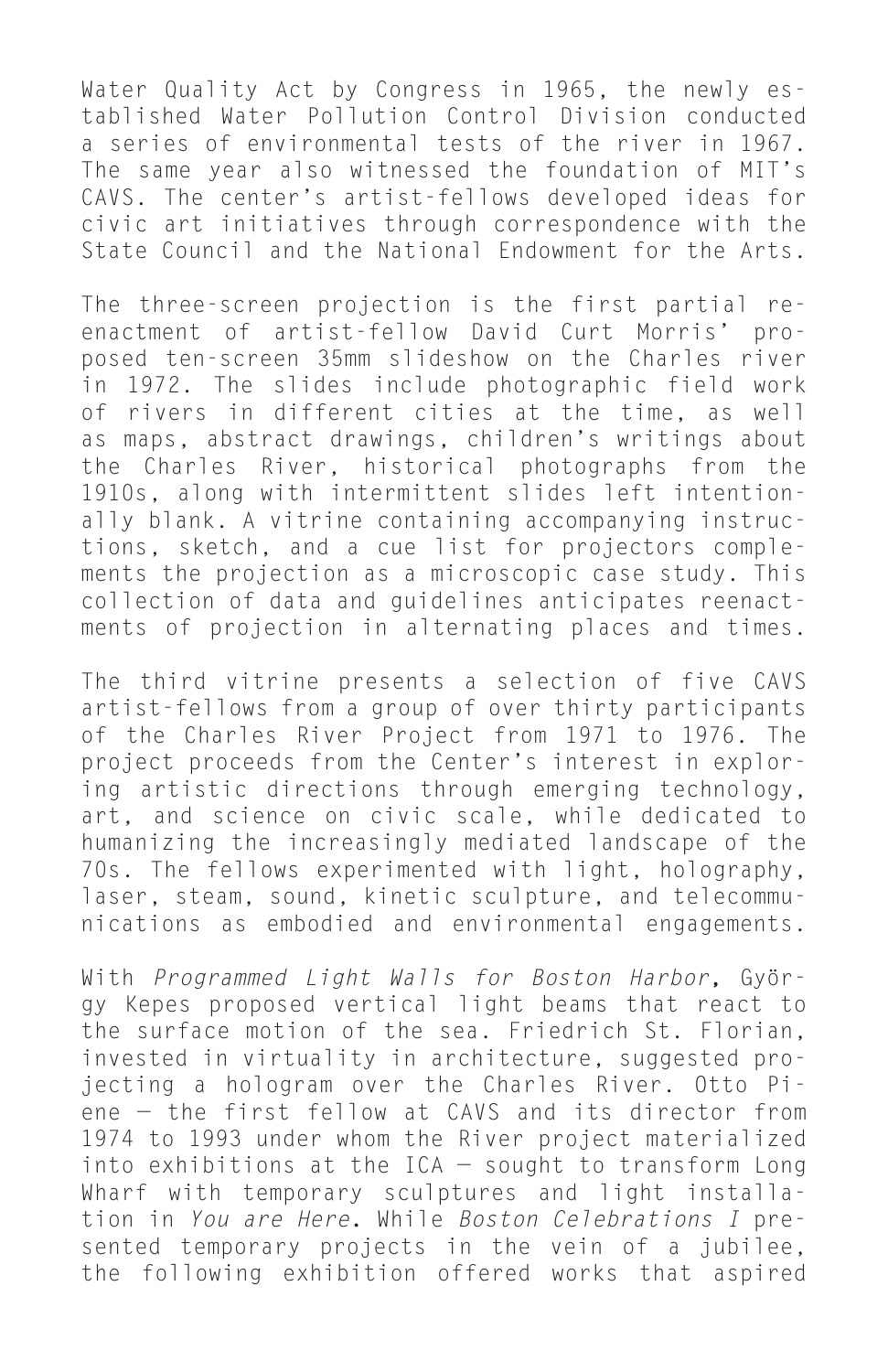Water Quality Act by Congress in 1965, the newly established Water Pollution Control Division conducted a series of environmental tests of the river in 1967. The same year also witnessed the foundation of MIT's CAVS. The center's artist-fellows developed ideas for civic art initiatives through correspondence with the State Council and the National Endowment for the Arts.

The three-screen projection is the first partial reenactment of artist-fellow David Curt Morris' proposed ten-screen 35mm slideshow on the Charles river in 1972. The slides include photographic field work of rivers in different cities at the time, as well as maps, abstract drawings, children's writings about the Charles River, historical photographs from the 1910s, along with intermittent slides left intentionally blank. A vitrine containing accompanying instructions, sketch, and a cue list for projectors complements the projection as a microscopic case study. This collection of data and guidelines anticipates reenactments of projection in alternating places and times.

The third vitrine presents a selection of five CAVS artist-fellows from a group of over thirty participants of the Charles River Project from 1971 to 1976. The project proceeds from the Center's interest in exploring artistic directions through emerging technology, art, and science on civic scale, while dedicated to humanizing the increasingly mediated landscape of the 70s. The fellows experimented with light, holography, laser, steam, sound, kinetic sculpture, and telecommunications as embodied and environmental engagements.

With *Programmed Light Walls for Boston Harbor***,** György Kepes proposed vertical light beams that react to the surface motion of the sea. Friedrich St. Florian, invested in virtuality in architecture, suggested projecting a hologram over the Charles River. Otto Piene — the first fellow at CAVS and its director from 1974 to 1993 under whom the River project materialized into exhibitions at the ICA — sought to transform Long Wharf with temporary sculptures and light installation in *You are Here***.** While *Boston Celebrations I* presented temporary projects in the vein of a jubilee, the following exhibition offered works that aspired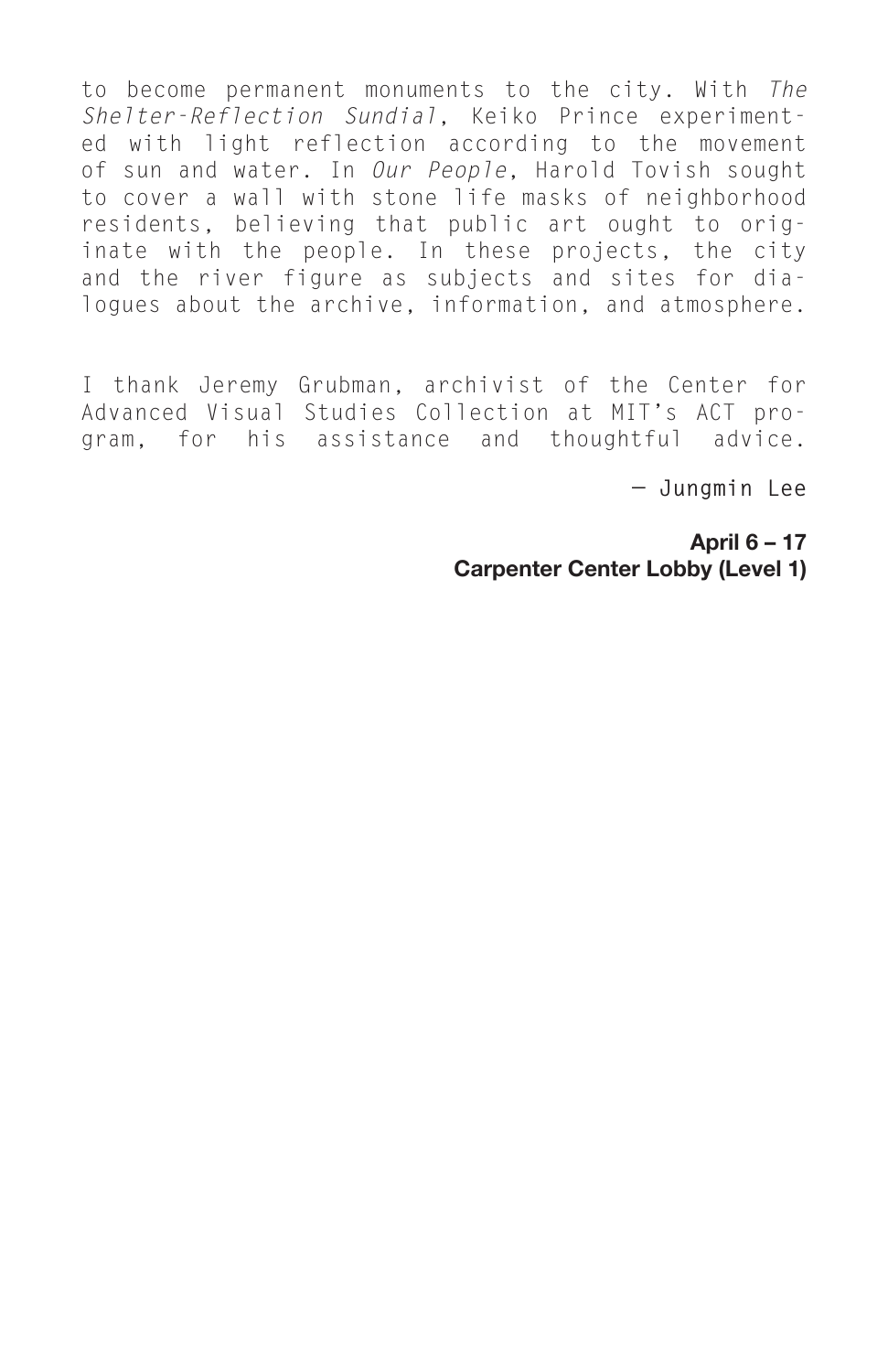to become permanent monuments to the city. With *The Shelter-Reflection Sundial*, Keiko Prince experimented with light reflection according to the movement of sun and water. In *Our People*, Harold Tovish sought to cover a wall with stone life masks of neighborhood residents, believing that public art ought to originate with the people. In these projects, the city and the river figure as subjects and sites for dialogues about the archive, information, and atmosphere.

I thank Jeremy Grubman, archivist of the Center for Advanced Visual Studies Collection at MIT's ACT program, for his assistance and thoughtful advice.

**— Jungmin Lee**

**April 6 – 17 Carpenter Center Lobby (Level 1)**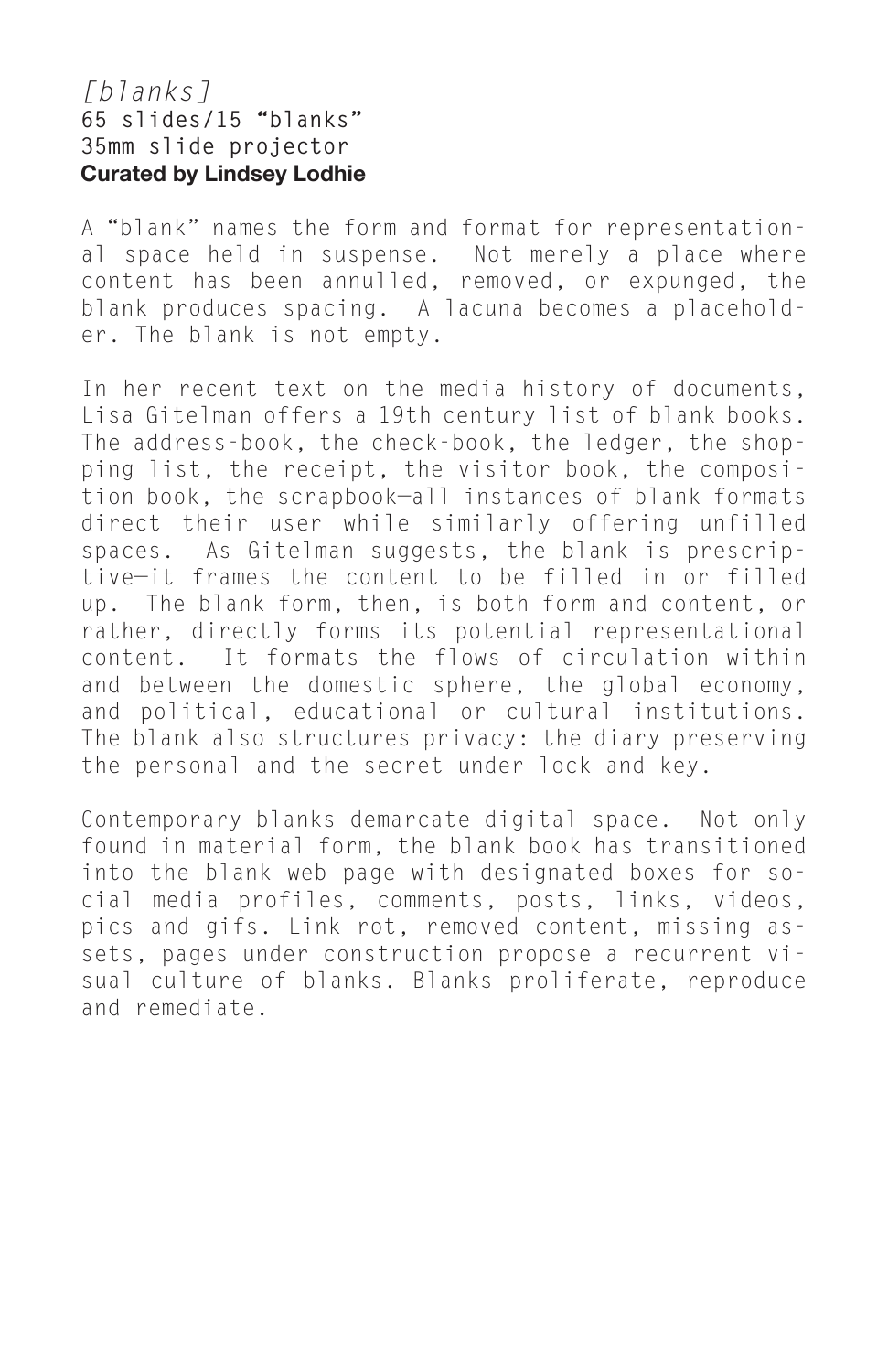# *[blanks]* **65 slides/15 "blanks" 35mm slide projector Curated by Lindsey Lodhie**

A "blank" names the form and format for representational space held in suspense. Not merely a place where content has been annulled, removed, or expunged, the blank produces spacing. A lacuna becomes a placeholder. The blank is not empty.

In her recent text on the media history of documents, Lisa Gitelman offers a 19th century list of blank books. The address-book, the check-book, the ledger, the shopping list, the receipt, the visitor book, the composition book, the scrapbook—all instances of blank formats direct their user while similarly offering unfilled spaces. As Gitelman suggests, the blank is prescriptive—it frames the content to be filled in or filled up. The blank form, then, is both form and content, or rather, directly forms its potential representational content. It formats the flows of circulation within and between the domestic sphere, the global economy, and political, educational or cultural institutions. The blank also structures privacy: the diary preserving the personal and the secret under lock and key.

Contemporary blanks demarcate digital space. Not only found in material form, the blank book has transitioned into the blank web page with designated boxes for social media profiles, comments, posts, links, videos, pics and gifs. Link rot, removed content, missing assets, pages under construction propose a recurrent visual culture of blanks. Blanks proliferate, reproduce and remediate.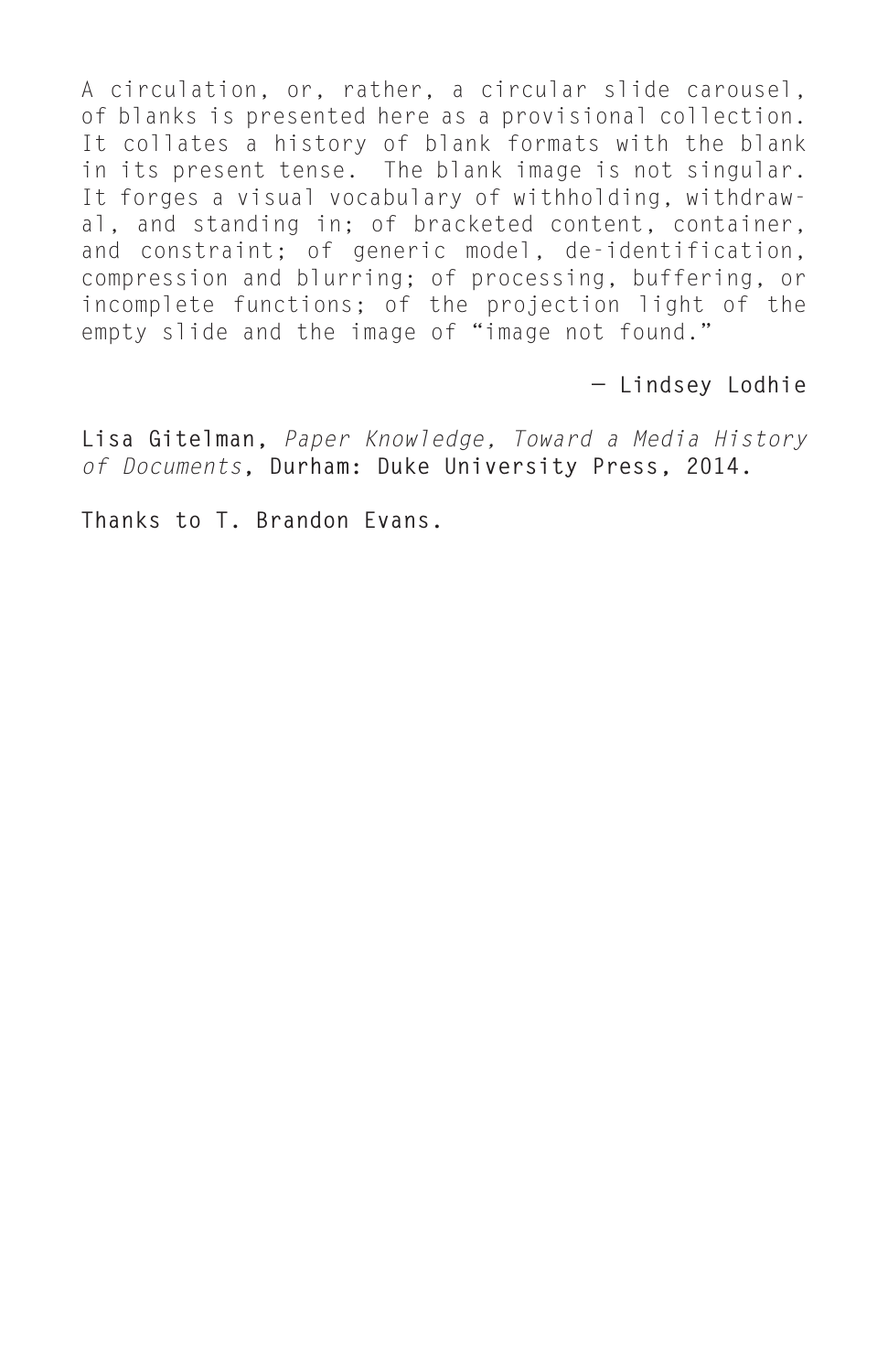A circulation, or, rather, a circular slide carousel, of blanks is presented here as a provisional collection. It collates a history of blank formats with the blank in its present tense. The blank image is not singular. It forges a visual vocabulary of withholding, withdrawal, and standing in; of bracketed content, container, and constraint; of generic model, de-identification, compression and blurring; of processing, buffering, or incomplete functions; of the projection light of the empty slide and the image of "image not found."

**— Lindsey Lodhie**

**Lisa Gitelman,** *Paper Knowledge, Toward a Media History of Documents***, Durham: Duke University Press, 2014.** 

**Thanks to T. Brandon Evans.**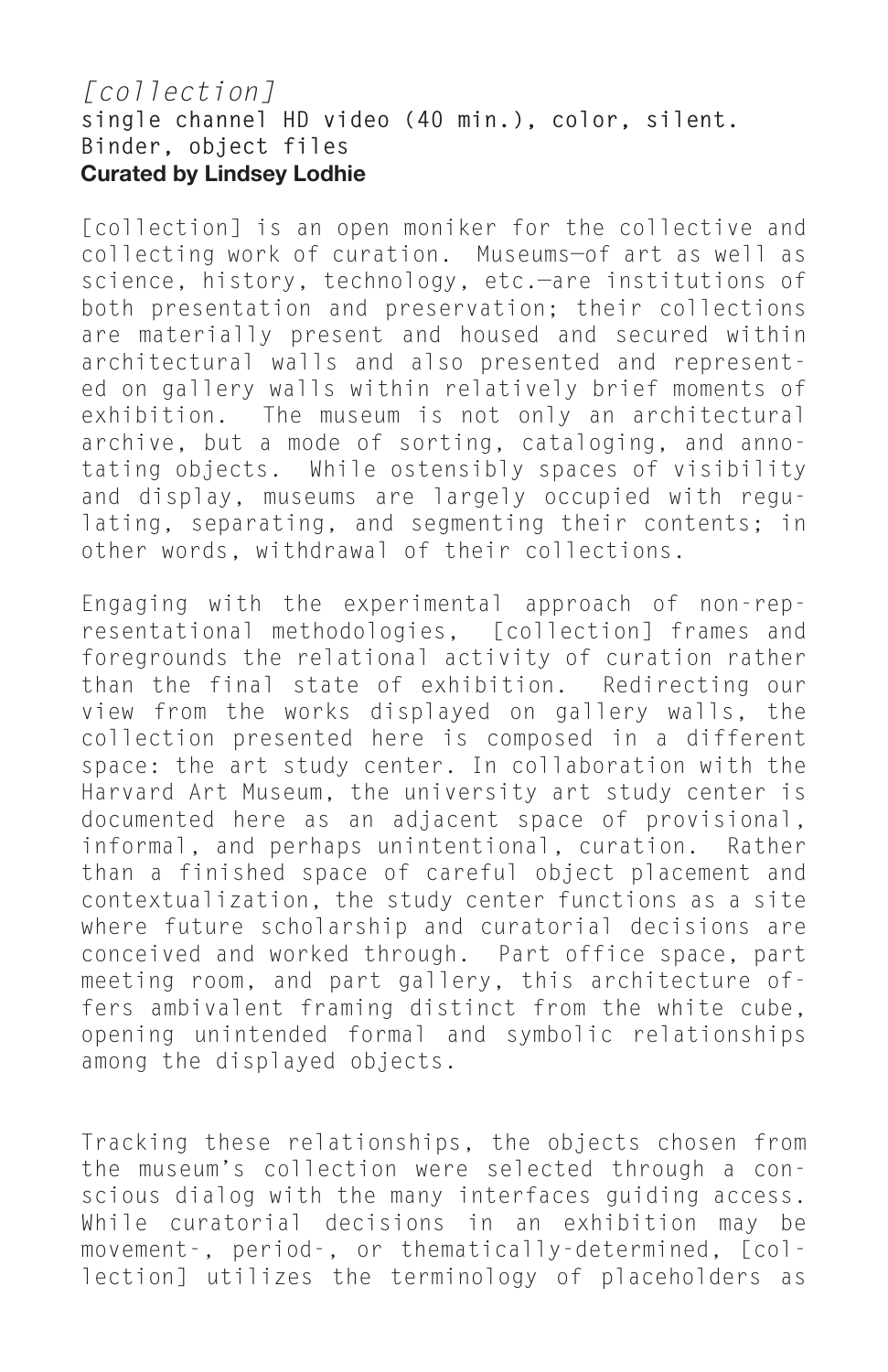# *[collection]* **single channel HD video (40 min.), color, silent. Binder, object files Curated by Lindsey Lodhie**

[collection] is an open moniker for the collective and collecting work of curation. Museums—of art as well as science, history, technology, etc.—are institutions of both presentation and preservation; their collections are materially present and housed and secured within architectural walls and also presented and represented on gallery walls within relatively brief moments of exhibition. The museum is not only an architectural archive, but a mode of sorting, cataloging, and annotating objects. While ostensibly spaces of visibility and display, museums are largely occupied with regulating, separating, and segmenting their contents; in other words, withdrawal of their collections.

Engaging with the experimental approach of non-representational methodologies, [collection] frames and foregrounds the relational activity of curation rather than the final state of exhibition. Redirecting our view from the works displayed on gallery walls, the collection presented here is composed in a different space: the art study center. In collaboration with the Harvard Art Museum, the university art study center is documented here as an adjacent space of provisional, informal, and perhaps unintentional, curation. Rather than a finished space of careful object placement and contextualization, the study center functions as a site where future scholarship and curatorial decisions are conceived and worked through. Part office space, part meeting room, and part gallery, this architecture offers ambivalent framing distinct from the white cube, opening unintended formal and symbolic relationships among the displayed objects.

Tracking these relationships, the objects chosen from the museum's collection were selected through a conscious dialog with the many interfaces guiding access. While curatorial decisions in an exhibition may be movement-, period-, or thematically-determined, [collection] utilizes the terminology of placeholders as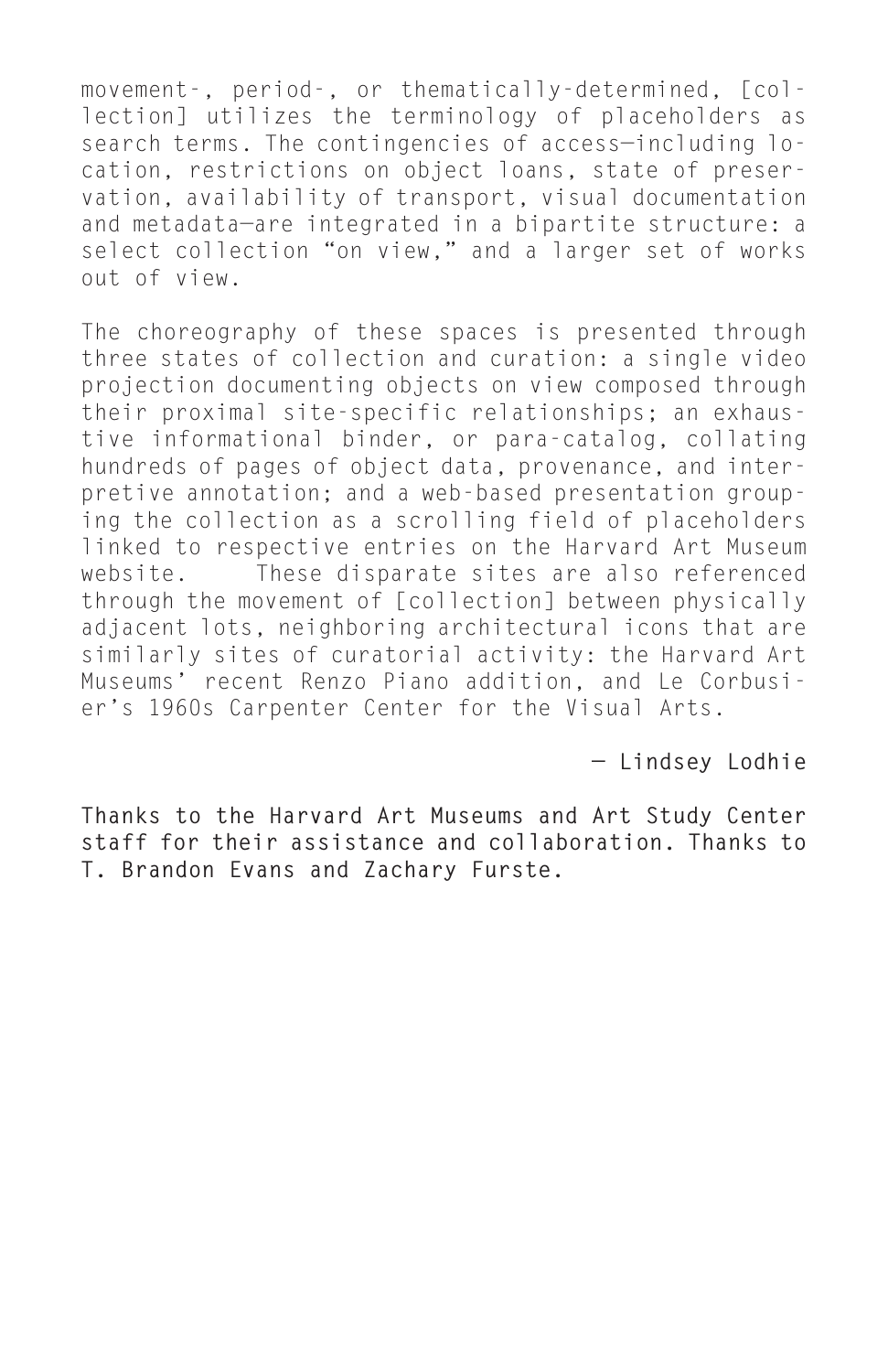movement-, period-, or thematically-determined, [collection] utilizes the terminology of placeholders as search terms. The contingencies of access—including location, restrictions on object loans, state of preservation, availability of transport, visual documentation and metadata—are integrated in a bipartite structure: a select collection "on view," and a larger set of works out of view.

The choreography of these spaces is presented through three states of collection and curation: a single video projection documenting objects on view composed through their proximal site-specific relationships; an exhaustive informational binder, or para-catalog, collating hundreds of pages of object data, provenance, and interpretive annotation; and a web-based presentation grouping the collection as a scrolling field of placeholders linked to respective entries on the Harvard Art Museum website. These disparate sites are also referenced through the movement of [collection] between physically adjacent lots, neighboring architectural icons that are similarly sites of curatorial activity: the Harvard Art Museums' recent Renzo Piano addition, and Le Corbusier's 1960s Carpenter Center for the Visual Arts.

**— Lindsey Lodhie**

**Thanks to the Harvard Art Museums and Art Study Center staff for their assistance and collaboration. Thanks to T. Brandon Evans and Zachary Furste.**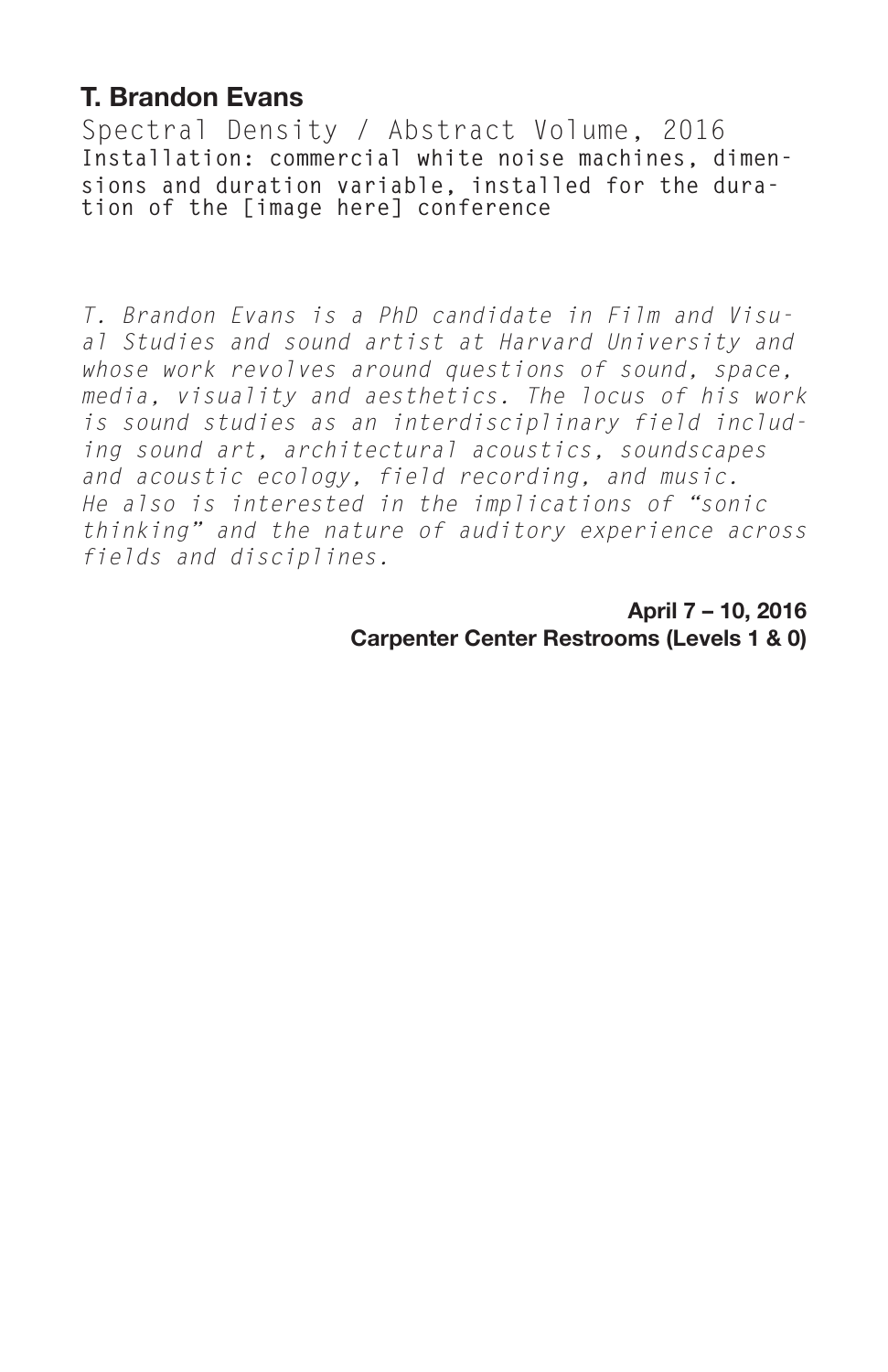# **T. Brandon Evans**

Spectral Density / Abstract Volume, 2016 **Installation: commercial white noise machines, dimensions and duration variable, installed for the duration of the [image here] conference**

*T. Brandon Evans is a PhD candidate in Film and Visual Studies and sound artist at Harvard University and whose work revolves around questions of sound, space, media, visuality and aesthetics. The locus of his work is sound studies as an interdisciplinary field including sound art, architectural acoustics, soundscapes and acoustic ecology, field recording, and music. He also is interested in the implications of "sonic thinking" and the nature of auditory experience across fields and disciplines.*

> **April 7 – 10, 2016 Carpenter Center Restrooms (Levels 1 & 0)**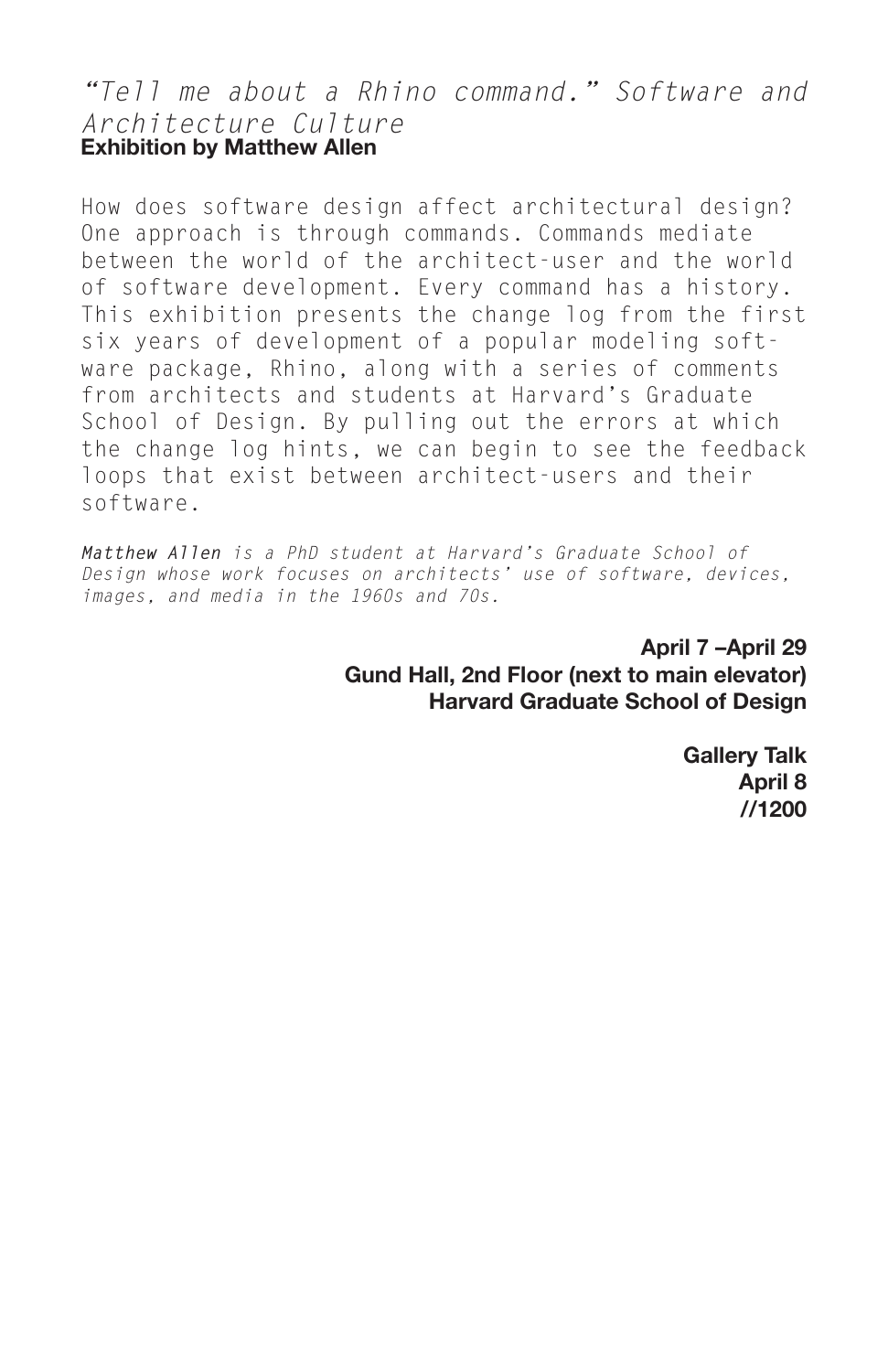# *"Tell me about a Rhino command." Software and Architecture Culture* **Exhibition by Matthew Allen**

How does software design affect architectural design? One approach is through commands. Commands mediate between the world of the architect-user and the world of software development. Every command has a history. This exhibition presents the change log from the first six years of development of a popular modeling software package, Rhino, along with a series of comments from architects and students at Harvard's Graduate School of Design. By pulling out the errors at which the change log hints, we can begin to see the feedback loops that exist between architect-users and their software.

*Matthew Allen is a PhD student at Harvard's Graduate School of Design whose work focuses on architects' use of software, devices, images, and media in the 1960s and 70s.*

> **April 7 –April 29 Gund Hall, 2nd Floor (next to main elevator) Harvard Graduate School of Design**

> > **Gallery Talk April 8 //1200**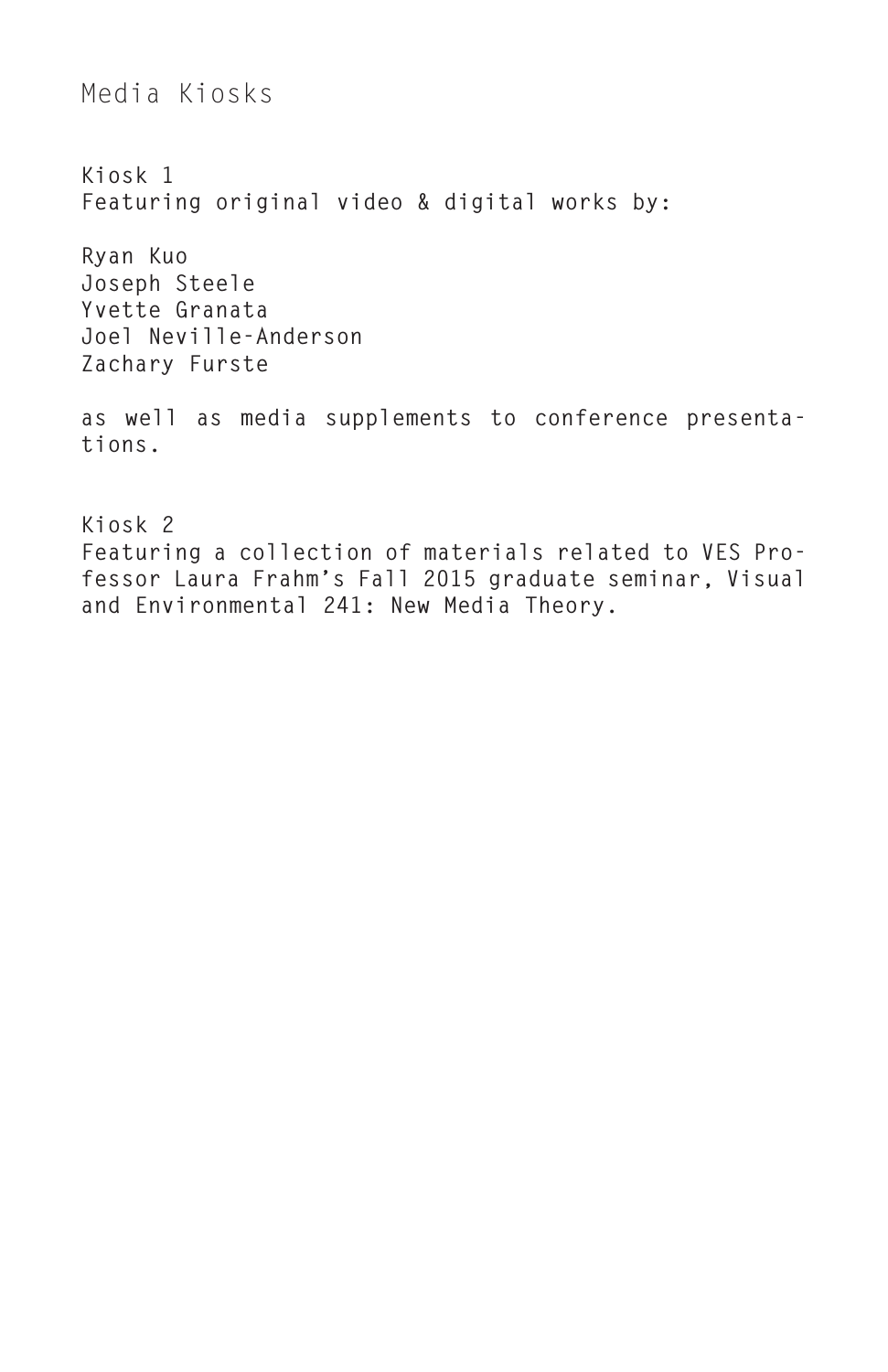Media Kiosks

**Kiosk 1 Featuring original video & digital works by:**

**Ryan Kuo Joseph Steele Yvette Granata Joel Neville-Anderson Zachary Furste**

**as well as media supplements to conference presentations.** 

**Kiosk 2 Featuring a collection of materials related to VES Professor Laura Frahm's Fall 2015 graduate seminar, Visual and Environmental 241: New Media Theory.**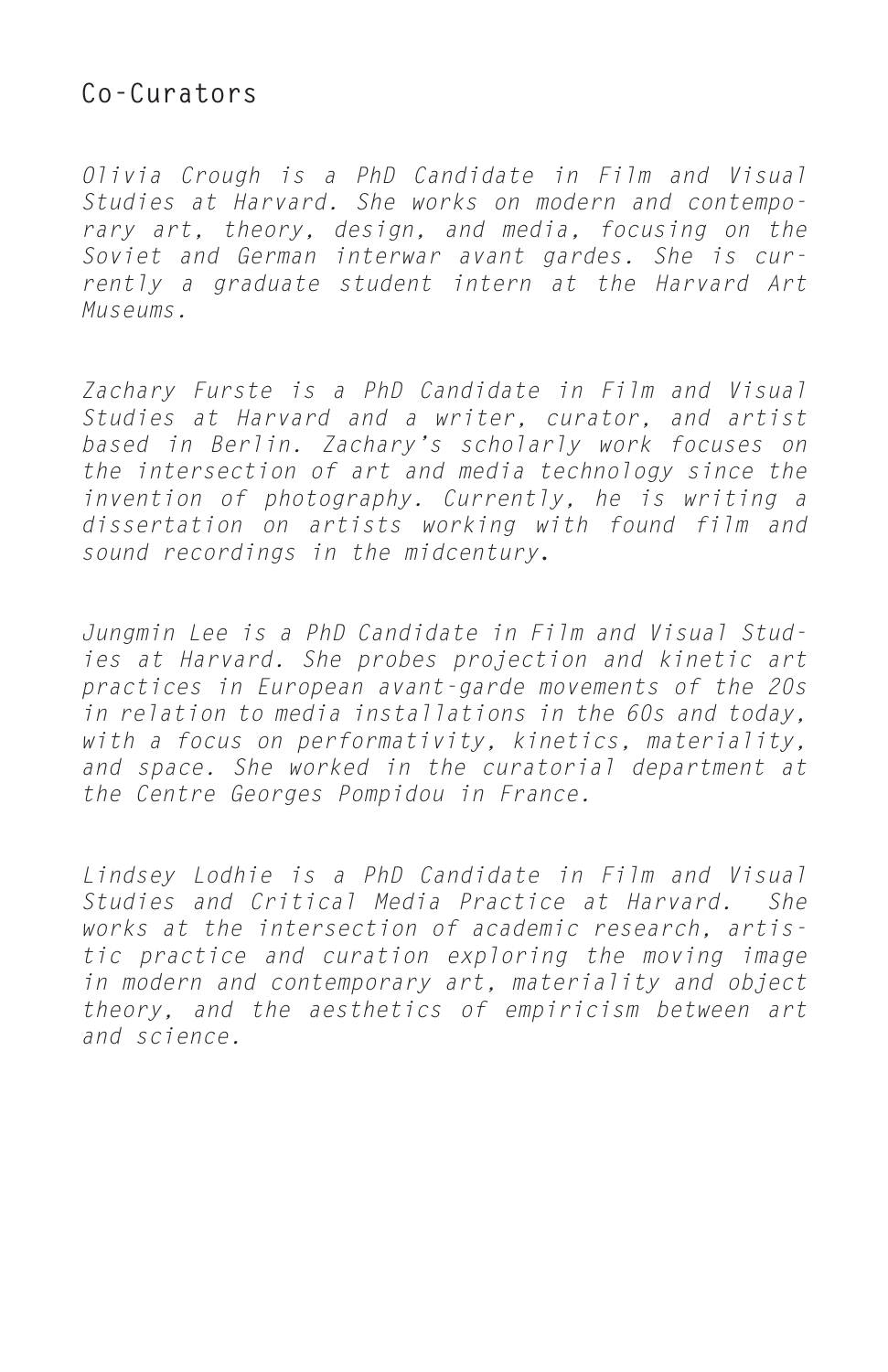# **Co-Curators**

*Olivia Crough is a PhD Candidate in Film and Visual Studies at Harvard. She works on modern and contemporary art, theory, design, and media, focusing on the Soviet and German interwar avant gardes. She is currently a graduate student intern at the Harvard Art Museums.* 

*Zachary Furste is a PhD Candidate in Film and Visual Studies at Harvard and a writer, curator, and artist based in Berlin. Zachary's scholarly work focuses on the intersection of art and media technology since the invention of photography. Currently, he is writing a dissertation on artists working with found film and sound recordings in the midcentury***.**

*Jungmin Lee is a PhD Candidate in Film and Visual Studies at Harvard. She probes projection and kinetic art practices in European avant-garde movements of the 20s in relation to media installations in the 60s and today, with a focus on performativity, kinetics, materiality, and space. She worked in the curatorial department at the Centre Georges Pompidou in France.*

*Lindsey Lodhie is a PhD Candidate in Film and Visual Studies and Critical Media Practice at Harvard. She works at the intersection of academic research, artistic practice and curation exploring the moving image in modern and contemporary art, materiality and object theory, and the aesthetics of empiricism between art and science.*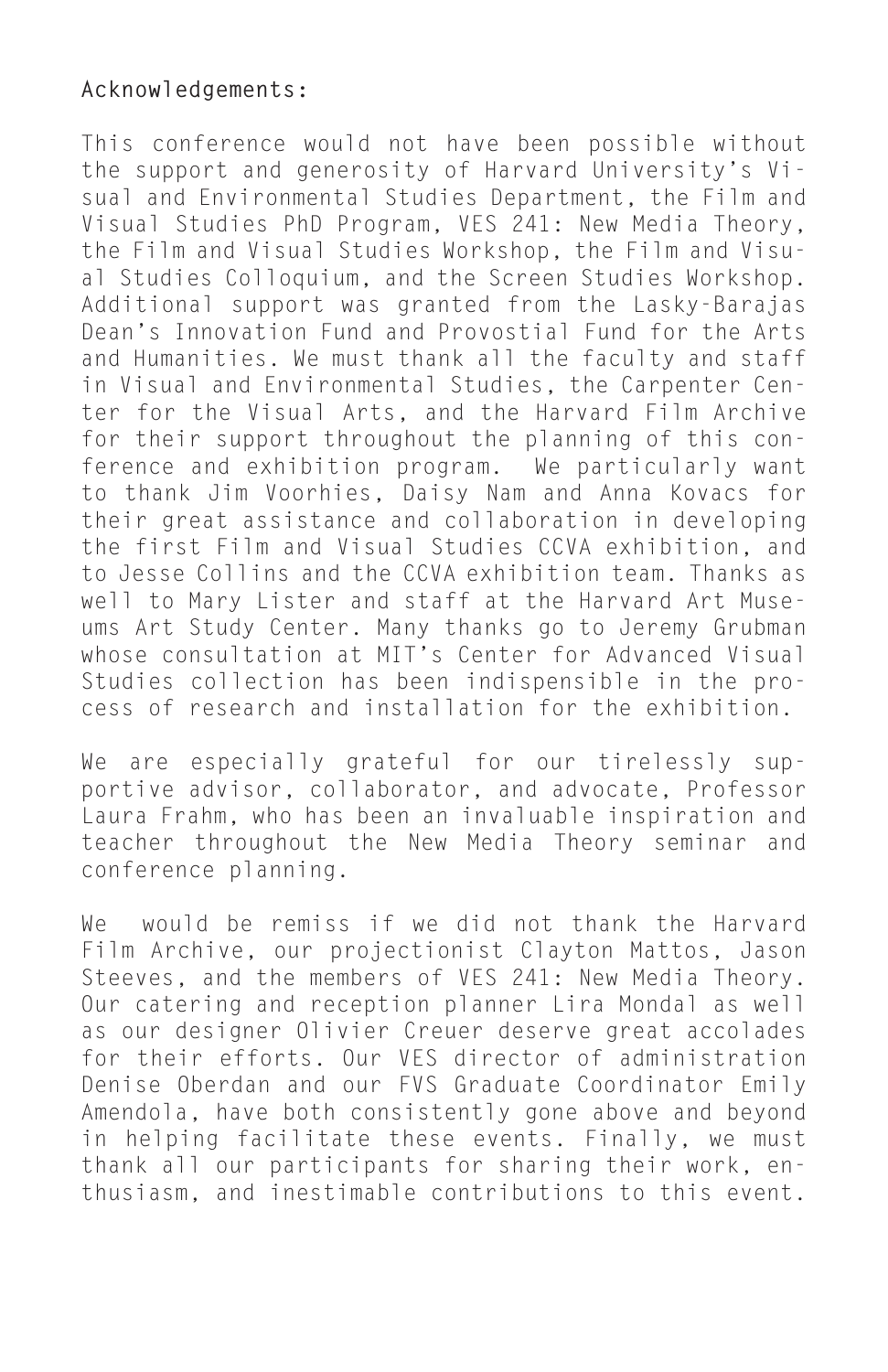### **Acknowledgements:**

This conference would not have been possible without the support and generosity of Harvard University's Visual and Environmental Studies Department, the Film and Visual Studies PhD Program, VES 241: New Media Theory, the Film and Visual Studies Workshop, the Film and Visual Studies Colloquium, and the Screen Studies Workshop. Additional support was granted from the Lasky-Barajas Dean's Innovation Fund and Provostial Fund for the Arts and Humanities. We must thank all the faculty and staff in Visual and Environmental Studies, the Carpenter Center for the Visual Arts, and the Harvard Film Archive for their support throughout the planning of this conference and exhibition program. We particularly want to thank Jim Voorhies, Daisy Nam and Anna Kovacs for their great assistance and collaboration in developing the first Film and Visual Studies CCVA exhibition, and to Jesse Collins and the CCVA exhibition team. Thanks as well to Mary Lister and staff at the Harvard Art Museums Art Study Center. Many thanks go to Jeremy Grubman whose consultation at MIT's Center for Advanced Visual Studies collection has been indispensible in the process of research and installation for the exhibition.

We are especially grateful for our tirelessly supportive advisor, collaborator, and advocate, Professor Laura Frahm, who has been an invaluable inspiration and teacher throughout the New Media Theory seminar and conference planning.

We would be remiss if we did not thank the Harvard Film Archive, our projectionist Clayton Mattos, Jason Steeves, and the members of VES 241: New Media Theory. Our catering and reception planner Lira Mondal as well as our designer Olivier Creuer deserve great accolades for their efforts. Our VES director of administration Denise Oberdan and our FVS Graduate Coordinator Emily Amendola, have both consistently gone above and beyond in helping facilitate these events. Finally, we must thank all our participants for sharing their work, enthusiasm, and inestimable contributions to this event.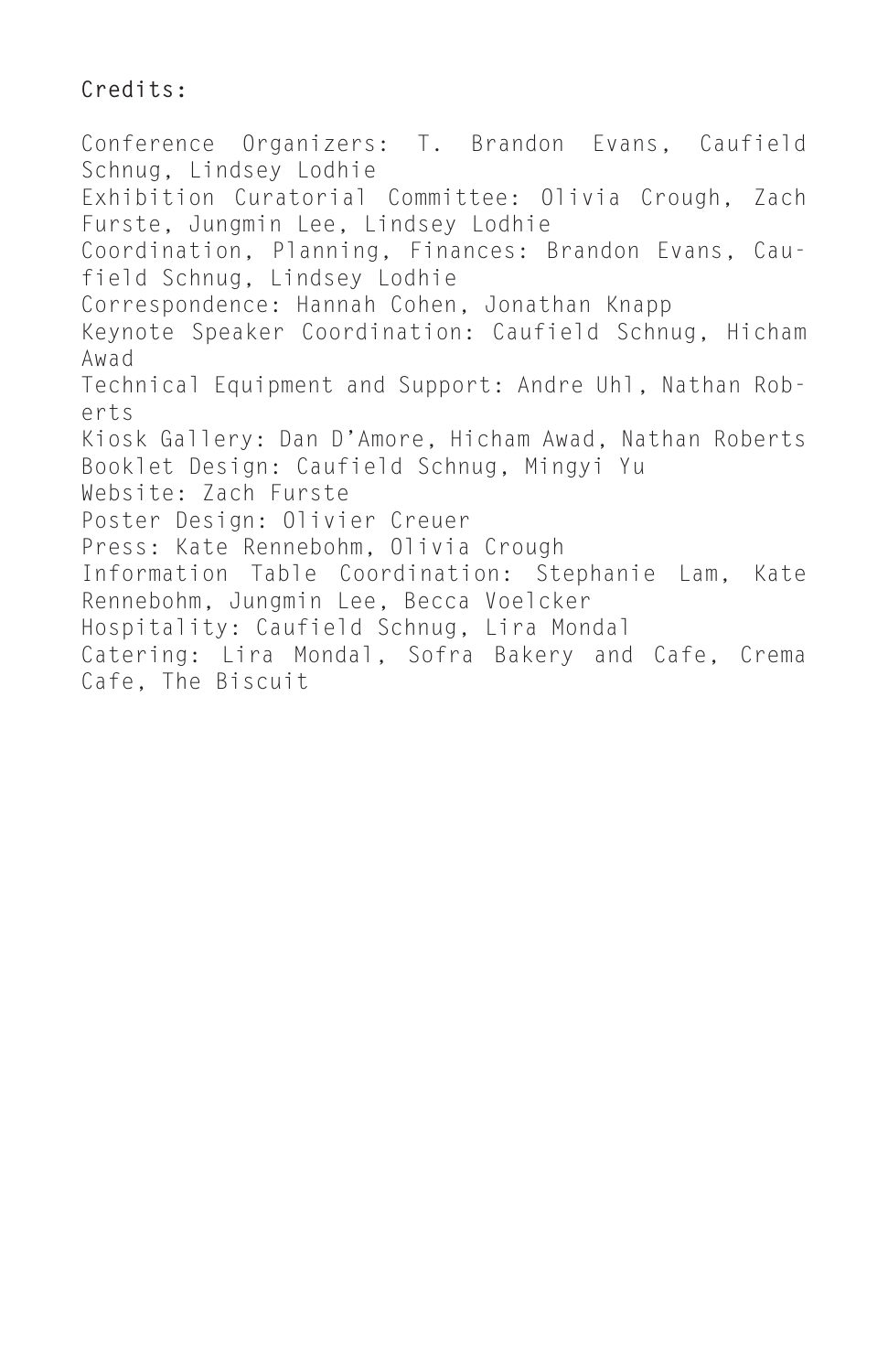# **Credits:**

Conference Organizers: T. Brandon Evans, Caufield Schnug, Lindsey Lodhie Exhibition Curatorial Committee: Olivia Crough, Zach Furste, Jungmin Lee, Lindsey Lodhie Coordination, Planning, Finances: Brandon Evans, Caufield Schnug, Lindsey Lodhie Correspondence: Hannah Cohen, Jonathan Knapp Keynote Speaker Coordination: Caufield Schnug, Hicham Awad Technical Equipment and Support: Andre Uhl, Nathan Roberts Kiosk Gallery: Dan D'Amore, Hicham Awad, Nathan Roberts Booklet Design: Caufield Schnug, Mingyi Yu Website: Zach Furste Poster Design: Olivier Creuer Press: Kate Rennebohm, Olivia Crough Information Table Coordination: Stephanie Lam, Kate Rennebohm, Jungmin Lee, Becca Voelcker Hospitality: Caufield Schnug, Lira Mondal Catering: Lira Mondal, Sofra Bakery and Cafe, Crema Cafe, The Biscuit